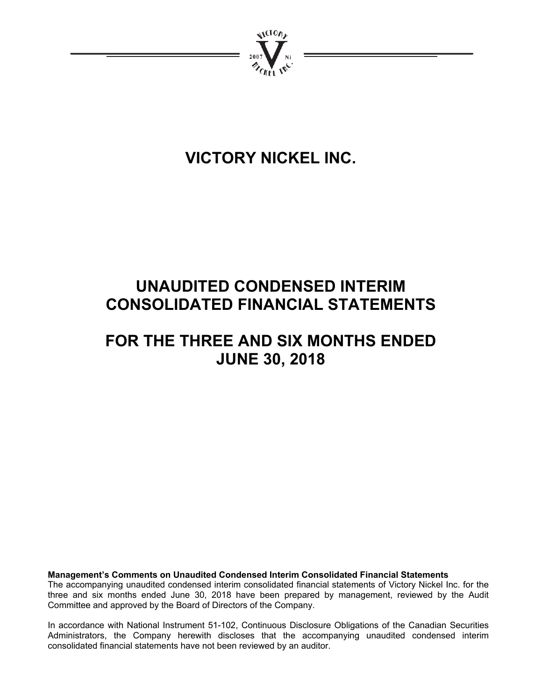

# **VICTORY NICKEL INC.**

# **UNAUDITED CONDENSED INTERIM CONSOLIDATED FINANCIAL STATEMENTS**

## **FOR THE THREE AND SIX MONTHS ENDED JUNE 30, 2018**

**Management's Comments on Unaudited Condensed Interim Consolidated Financial Statements**  The accompanying unaudited condensed interim consolidated financial statements of Victory Nickel Inc. for the three and six months ended June 30, 2018 have been prepared by management, reviewed by the Audit Committee and approved by the Board of Directors of the Company.

In accordance with National Instrument 51-102, Continuous Disclosure Obligations of the Canadian Securities Administrators, the Company herewith discloses that the accompanying unaudited condensed interim consolidated financial statements have not been reviewed by an auditor.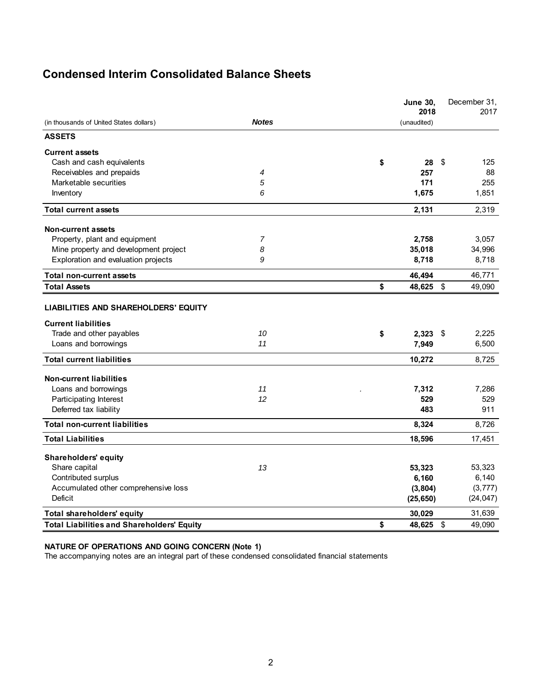### **Condensed Interim Consolidated Balance Sheets**

|                                                                           |              | <b>June 30,</b><br>2018 |                         | December 31,<br>2017 |
|---------------------------------------------------------------------------|--------------|-------------------------|-------------------------|----------------------|
| (in thousands of United States dollars)                                   | <b>Notes</b> | (unaudited)             |                         |                      |
| <b>ASSETS</b>                                                             |              |                         |                         |                      |
| <b>Current assets</b>                                                     |              |                         |                         |                      |
| Cash and cash equivalents                                                 |              | \$<br>28                | \$                      | 125                  |
| Receivables and prepaids                                                  | 4            | 257                     |                         | 88                   |
| Marketable securities                                                     | 5            | 171                     |                         | 255                  |
| Inventory                                                                 | 6            | 1,675                   |                         | 1,851                |
| <b>Total current assets</b>                                               |              | 2,131                   |                         | 2,319                |
| Non-current assets                                                        |              |                         |                         |                      |
| Property, plant and equipment                                             | 7            | 2,758                   |                         | 3,057                |
| Mine property and development project                                     | 8            | 35,018                  |                         | 34,996               |
| Exploration and evaluation projects                                       | 9            | 8,718                   |                         | 8,718                |
| <b>Total non-current assets</b>                                           |              | 46,494                  |                         | 46,771               |
| <b>Total Assets</b>                                                       |              | \$<br>48,625            | $\sqrt[6]{\frac{1}{2}}$ | 49,090               |
| <b>LIABILITIES AND SHAREHOLDERS' EQUITY</b><br><b>Current liabilities</b> |              |                         |                         |                      |
| Trade and other payables                                                  | 10           | \$<br>2,323             | - \$                    | 2,225                |
| Loans and borrowings                                                      | 11           | 7,949                   |                         | 6,500                |
| <b>Total current liabilities</b>                                          |              | 10,272                  |                         | 8,725                |
| <b>Non-current liabilities</b>                                            |              |                         |                         |                      |
| Loans and borrowings                                                      | 11           | 7,312                   |                         | 7,286                |
| Participating Interest                                                    | 12           | 529                     |                         | 529                  |
| Deferred tax liability                                                    |              | 483                     |                         | 911                  |
| <b>Total non-current liabilities</b>                                      |              | 8,324                   |                         | 8,726                |
| <b>Total Liabilities</b>                                                  |              | 18,596                  |                         | 17,451               |
| <b>Shareholders' equity</b>                                               |              |                         |                         |                      |
| Share capital                                                             | 13           | 53,323                  |                         | 53,323               |
| Contributed surplus                                                       |              | 6,160                   |                         | 6,140                |
| Accumulated other comprehensive loss                                      |              | (3, 804)                |                         | (3, 777)             |
| Deficit                                                                   |              | (25, 650)               |                         | (24, 047)            |
| Total shareholders' equity                                                |              | 30,029                  |                         | 31,639               |
| <b>Total Liabilities and Shareholders' Equity</b>                         |              | \$<br>48,625            | \$                      | 49,090               |

#### **NATURE OF OPERATIONS AND GOING CONCERN (Note 1)**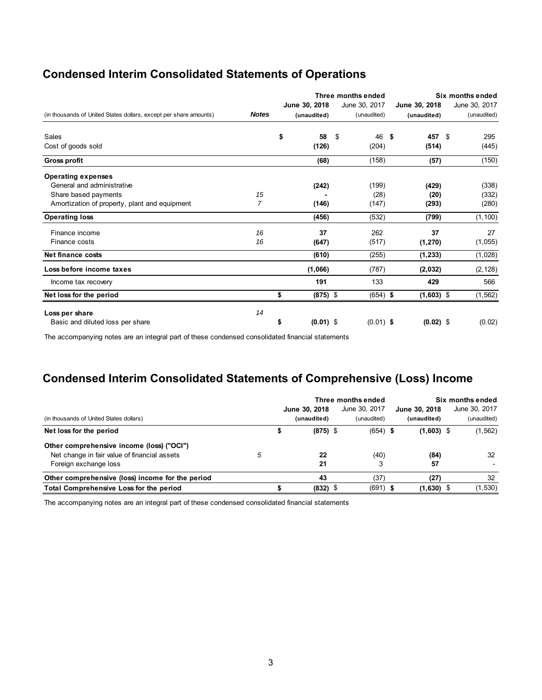| <b>Condensed Interim Consolidated Statements of Operations</b> |  |  |  |
|----------------------------------------------------------------|--|--|--|
|----------------------------------------------------------------|--|--|--|

|                                                                   |              |    |               | Three months ended |               |               |    | Six months ended |  |
|-------------------------------------------------------------------|--------------|----|---------------|--------------------|---------------|---------------|----|------------------|--|
|                                                                   |              |    | June 30, 2018 |                    | June 30, 2017 | June 30, 2018 |    | June 30, 2017    |  |
| (in thousands of United States dollars, except per share amounts) | <b>Notes</b> |    | (unaudited)   |                    | (unaudited)   | (unaudited)   |    | (unaudited)      |  |
| Sales                                                             |              | \$ | 58            | \$                 | 46            | -\$<br>457    | \$ | 295              |  |
| Cost of goods sold                                                |              |    | (126)         |                    | (204)         | (514)         |    | (445)            |  |
| Gross profit                                                      |              |    | (68)          |                    | (158)         | (57)          |    | (150)            |  |
| <b>Operating expenses</b>                                         |              |    |               |                    |               |               |    |                  |  |
| General and administrative                                        |              |    | (242)         |                    | (199)         | (429)         |    | (338)            |  |
| Share based payments                                              | 15           |    |               |                    | (28)          | (20)          |    | (332)            |  |
| Amortization of property, plant and equipment                     | 7            |    | (146)         |                    | (147)         | (293)         |    | (280)            |  |
| <b>Operating loss</b>                                             |              |    | (456)         |                    | (532)         | (799)         |    | (1, 100)         |  |
| Finance income                                                    | 16           |    | 37            |                    | 262           | 37            |    | 27               |  |
| Finance costs                                                     | 16           |    | (647)         |                    | (517)         | (1, 270)      |    | (1,055)          |  |
| Net finance costs                                                 |              |    | (610)         |                    | (255)         | (1, 233)      |    | (1,028)          |  |
| Loss before income taxes                                          |              |    | (1,066)       |                    | (787)         | (2,032)       |    | (2, 128)         |  |
| Income tax recovery                                               |              |    | 191           |                    | 133           | 429           |    | 566              |  |
| Net loss for the period                                           |              | \$ | $(875)$ \$    |                    | $(654)$ \$    | $(1,603)$ \$  |    | (1, 562)         |  |
| Loss per share                                                    | 14           |    |               |                    |               |               |    |                  |  |
| Basic and diluted loss per share                                  |              | S  | $(0.01)$ \$   |                    | $(0.01)$ \$   | $(0.02)$ \$   |    | (0.02)           |  |

The accompanying notes are an integral part of these condensed consolidated financial statements

### **Condensed Interim Consolidated Statements of Comprehensive (Loss) Income**

|                                                  |   |               | Three months ended | Six months ended |  |               |  |
|--------------------------------------------------|---|---------------|--------------------|------------------|--|---------------|--|
|                                                  |   | June 30, 2018 | June 30, 2017      | June 30, 2018    |  | June 30, 2017 |  |
| (in thousands of United States dollars)          |   | (unaudited)   | (unaudited)        | (unaudited)      |  | (unaudited)   |  |
| Net loss for the period                          |   | $(875)$ \$    | $(654)$ \$         | $(1,603)$ \$     |  | (1, 562)      |  |
| Other comprehensive income (loss) ("OCI")        |   |               |                    |                  |  |               |  |
| Net change in fair value of financial assets     | 5 | 22            | (40)               | (84)             |  | 32            |  |
| Foreign exchange loss                            |   | 21            | J.                 | 57               |  |               |  |
| Other comprehensive (loss) income for the period |   | 43            | (37)               | (27)             |  | 32            |  |
| Total Comprehensive Loss for the period          |   | $(832)$ \$    | (691)              | $(1,630)$ \$     |  | (1,530)       |  |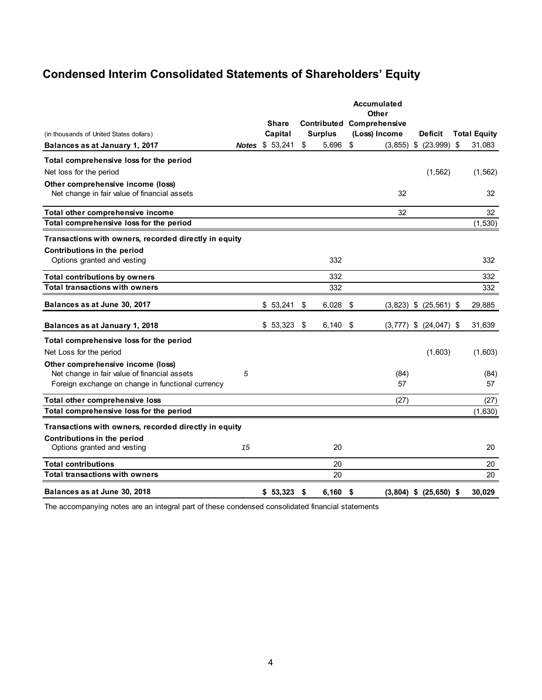### **Condensed Interim Consolidated Statements of Shareholders' Equity**

|                                                       |    |                        |                | <b>Accumulated</b><br>Other      |                            |     |                     |
|-------------------------------------------------------|----|------------------------|----------------|----------------------------------|----------------------------|-----|---------------------|
|                                                       |    | <b>Share</b>           |                | <b>Contributed Comprehensive</b> |                            |     |                     |
| (in thousands of United States dollars)               |    | Capital                | <b>Surplus</b> | (Loss) Income                    | <b>Deficit</b>             |     | <b>Total Equity</b> |
| Balances as at January 1, 2017                        |    | <b>Notes \$ 53,241</b> | \$<br>5.696    | \$<br>(3.855)                    | \$ (23,999)                | -\$ | 31,083              |
| Total comprehensive loss for the period               |    |                        |                |                                  |                            |     |                     |
| Net loss for the period                               |    |                        |                |                                  | (1, 562)                   |     | (1, 562)            |
| Other comprehensive income (loss)                     |    |                        |                |                                  |                            |     |                     |
| Net change in fair value of financial assets          |    |                        |                | 32                               |                            |     | 32                  |
| Total other comprehensive income                      |    |                        |                | 32                               |                            |     | 32                  |
| Total comprehensive loss for the period               |    |                        |                |                                  |                            |     | (1,530)             |
| Transactions with owners, recorded directly in equity |    |                        |                |                                  |                            |     |                     |
| Contributions in the period                           |    |                        |                |                                  |                            |     |                     |
| Options granted and vesting                           |    |                        | 332            |                                  |                            |     | 332                 |
| <b>Total contributions by owners</b>                  |    |                        | 332            |                                  |                            |     | 332                 |
| <b>Total transactions with owners</b>                 |    |                        | 332            |                                  |                            |     | 332                 |
| Balances as at June 30, 2017                          |    | \$53,241               | \$<br>6,028    | \$<br>(3,823)                    | $$$ (25,561) \$            |     | 29,885              |
| Balances as at January 1, 2018                        |    | \$53,323               | \$<br>6,140    | \$<br>(3, 777)                   | $$$ (24,047) \$            |     | 31,639              |
| Total comprehensive loss for the period               |    |                        |                |                                  |                            |     |                     |
| Net Loss for the period                               |    |                        |                |                                  | (1,603)                    |     | (1,603)             |
| Other comprehensive income (loss)                     |    |                        |                |                                  |                            |     |                     |
| Net change in fair value of financial assets          | 5  |                        |                | (84)                             |                            |     | (84)                |
| Foreign exchange on change in functional currency     |    |                        |                | 57                               |                            |     | 57                  |
| Total other comprehensive loss                        |    |                        |                | (27)                             |                            |     | (27)                |
| Total comprehensive loss for the period               |    |                        |                |                                  |                            |     | (1,630)             |
| Transactions with owners, recorded directly in equity |    |                        |                |                                  |                            |     |                     |
| Contributions in the period                           |    |                        |                |                                  |                            |     |                     |
| Options granted and vesting                           | 15 |                        | 20             |                                  |                            |     | 20                  |
| <b>Total contributions</b>                            |    |                        | 20             |                                  |                            |     | 20                  |
| <b>Total transactions with owners</b>                 |    |                        | 20             |                                  |                            |     | 20                  |
| Balances as at June 30, 2018                          |    | $$53,323$ \$           | 6.160          | \$                               | $(3,804)$ \$ $(25,650)$ \$ |     | 30,029              |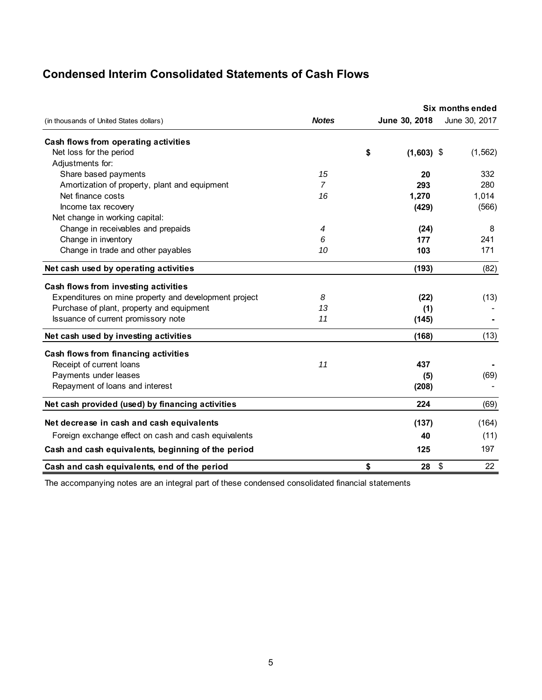### **Condensed Interim Consolidated Statements of Cash Flows**

|                                                       |                | Six months ended   |    |               |  |  |  |
|-------------------------------------------------------|----------------|--------------------|----|---------------|--|--|--|
| (in thousands of United States dollars)               | <b>Notes</b>   | June 30, 2018      |    | June 30, 2017 |  |  |  |
| Cash flows from operating activities                  |                |                    |    |               |  |  |  |
| Net loss for the period                               |                | \$<br>$(1,603)$ \$ |    | (1, 562)      |  |  |  |
| Adjustments for:                                      |                |                    |    |               |  |  |  |
| Share based payments                                  | 15             | 20                 |    | 332           |  |  |  |
| Amortization of property, plant and equipment         | $\overline{7}$ | 293                |    | 280           |  |  |  |
| Net finance costs                                     | 16             | 1,270              |    | 1,014         |  |  |  |
| Income tax recovery                                   |                | (429)              |    | (566)         |  |  |  |
| Net change in working capital:                        |                |                    |    |               |  |  |  |
| Change in receivables and prepaids                    | 4              | (24)               |    | 8             |  |  |  |
| Change in inventory                                   | 6              | 177                |    | 241           |  |  |  |
| Change in trade and other payables                    | 10             | 103                |    | 171           |  |  |  |
| Net cash used by operating activities                 |                | (193)              |    | (82)          |  |  |  |
| Cash flows from investing activities                  |                |                    |    |               |  |  |  |
| Expenditures on mine property and development project | 8              | (22)               |    | (13)          |  |  |  |
| Purchase of plant, property and equipment             | 13             | (1)                |    |               |  |  |  |
| Issuance of current promissory note                   | 11             | (145)              |    |               |  |  |  |
| Net cash used by investing activities                 |                | (168)              |    | (13)          |  |  |  |
| Cash flows from financing activities                  |                |                    |    |               |  |  |  |
| Receipt of current loans                              | 11             | 437                |    |               |  |  |  |
| Payments under leases                                 |                | (5)                |    | (69)          |  |  |  |
| Repayment of loans and interest                       |                | (208)              |    |               |  |  |  |
| Net cash provided (used) by financing activities      |                | 224                |    | (69)          |  |  |  |
| Net decrease in cash and cash equivalents             |                | (137)              |    | (164)         |  |  |  |
| Foreign exchange effect on cash and cash equivalents  |                | 40                 |    | (11)          |  |  |  |
| Cash and cash equivalents, beginning of the period    |                | 125                |    | 197           |  |  |  |
| Cash and cash equivalents, end of the period          |                | \$<br>28           | \$ | 22            |  |  |  |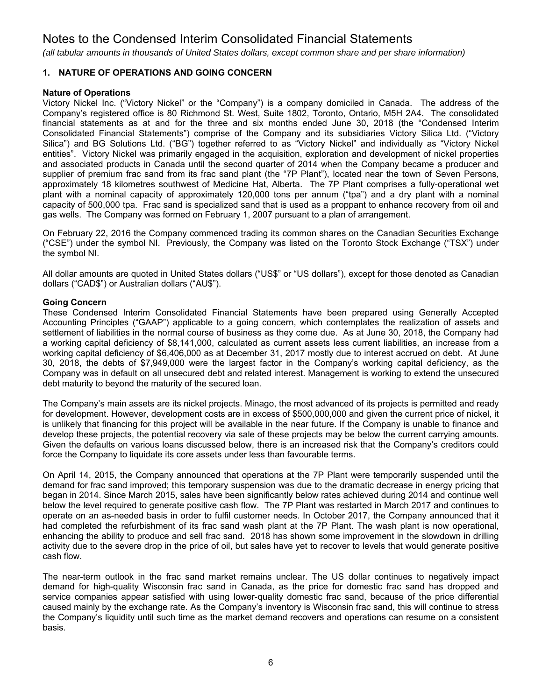*(all tabular amounts in thousands of United States dollars, except common share and per share information)*

#### **1. NATURE OF OPERATIONS AND GOING CONCERN**

#### **Nature of Operations**

Victory Nickel Inc. ("Victory Nickel" or the "Company") is a company domiciled in Canada. The address of the Company's registered office is 80 Richmond St. West, Suite 1802, Toronto, Ontario, M5H 2A4. The consolidated financial statements as at and for the three and six months ended June 30, 2018 (the "Condensed Interim Consolidated Financial Statements") comprise of the Company and its subsidiaries Victory Silica Ltd. ("Victory Silica") and BG Solutions Ltd. ("BG") together referred to as "Victory Nickel" and individually as "Victory Nickel entities". Victory Nickel was primarily engaged in the acquisition, exploration and development of nickel properties and associated products in Canada until the second quarter of 2014 when the Company became a producer and supplier of premium frac sand from its frac sand plant (the "7P Plant"), located near the town of Seven Persons, approximately 18 kilometres southwest of Medicine Hat, Alberta. The 7P Plant comprises a fully-operational wet plant with a nominal capacity of approximately 120,000 tons per annum ("tpa") and a dry plant with a nominal capacity of 500,000 tpa. Frac sand is specialized sand that is used as a proppant to enhance recovery from oil and gas wells. The Company was formed on February 1, 2007 pursuant to a plan of arrangement.

On February 22, 2016 the Company commenced trading its common shares on the Canadian Securities Exchange ("CSE") under the symbol NI. Previously, the Company was listed on the Toronto Stock Exchange ("TSX") under the symbol NI.

All dollar amounts are quoted in United States dollars ("US\$" or "US dollars"), except for those denoted as Canadian dollars ("CAD\$") or Australian dollars ("AU\$").

#### **Going Concern**

These Condensed Interim Consolidated Financial Statements have been prepared using Generally Accepted Accounting Principles ("GAAP") applicable to a going concern, which contemplates the realization of assets and settlement of liabilities in the normal course of business as they come due. As at June 30, 2018, the Company had a working capital deficiency of \$8,141,000, calculated as current assets less current liabilities, an increase from a working capital deficiency of \$6,406,000 as at December 31, 2017 mostly due to interest accrued on debt. At June 30, 2018, the debts of \$7,949,000 were the largest factor in the Company's working capital deficiency, as the Company was in default on all unsecured debt and related interest. Management is working to extend the unsecured debt maturity to beyond the maturity of the secured loan.

The Company's main assets are its nickel projects. Minago, the most advanced of its projects is permitted and ready for development. However, development costs are in excess of \$500,000,000 and given the current price of nickel, it is unlikely that financing for this project will be available in the near future. If the Company is unable to finance and develop these projects, the potential recovery via sale of these projects may be below the current carrying amounts. Given the defaults on various loans discussed below, there is an increased risk that the Company's creditors could force the Company to liquidate its core assets under less than favourable terms.

On April 14, 2015, the Company announced that operations at the 7P Plant were temporarily suspended until the demand for frac sand improved; this temporary suspension was due to the dramatic decrease in energy pricing that began in 2014. Since March 2015, sales have been significantly below rates achieved during 2014 and continue well below the level required to generate positive cash flow. The 7P Plant was restarted in March 2017 and continues to operate on an as-needed basis in order to fulfil customer needs. In October 2017, the Company announced that it had completed the refurbishment of its frac sand wash plant at the 7P Plant. The wash plant is now operational, enhancing the ability to produce and sell frac sand. 2018 has shown some improvement in the slowdown in drilling activity due to the severe drop in the price of oil, but sales have yet to recover to levels that would generate positive cash flow.

The near-term outlook in the frac sand market remains unclear. The US dollar continues to negatively impact demand for high-quality Wisconsin frac sand in Canada, as the price for domestic frac sand has dropped and service companies appear satisfied with using lower-quality domestic frac sand, because of the price differential caused mainly by the exchange rate. As the Company's inventory is Wisconsin frac sand, this will continue to stress the Company's liquidity until such time as the market demand recovers and operations can resume on a consistent basis.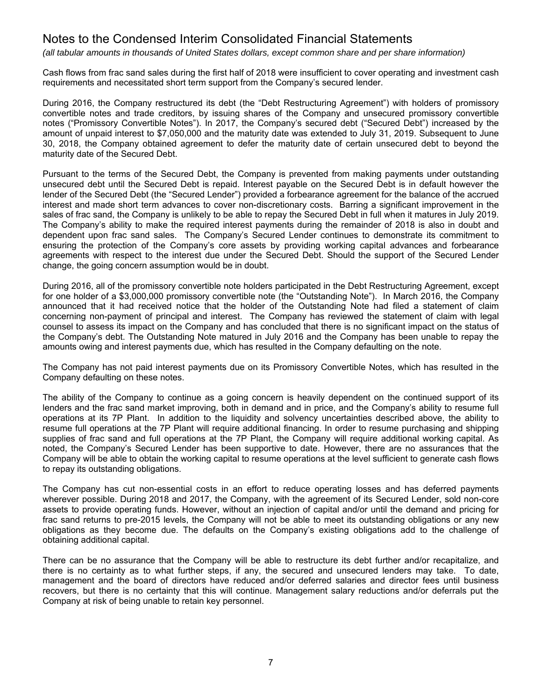*(all tabular amounts in thousands of United States dollars, except common share and per share information)*

Cash flows from frac sand sales during the first half of 2018 were insufficient to cover operating and investment cash requirements and necessitated short term support from the Company's secured lender.

During 2016, the Company restructured its debt (the "Debt Restructuring Agreement") with holders of promissory convertible notes and trade creditors, by issuing shares of the Company and unsecured promissory convertible notes ("Promissory Convertible Notes"). In 2017, the Company's secured debt ("Secured Debt") increased by the amount of unpaid interest to \$7,050,000 and the maturity date was extended to July 31, 2019. Subsequent to June 30, 2018, the Company obtained agreement to defer the maturity date of certain unsecured debt to beyond the maturity date of the Secured Debt.

Pursuant to the terms of the Secured Debt, the Company is prevented from making payments under outstanding unsecured debt until the Secured Debt is repaid. Interest payable on the Secured Debt is in default however the lender of the Secured Debt (the "Secured Lender") provided a forbearance agreement for the balance of the accrued interest and made short term advances to cover non-discretionary costs. Barring a significant improvement in the sales of frac sand, the Company is unlikely to be able to repay the Secured Debt in full when it matures in July 2019. The Company's ability to make the required interest payments during the remainder of 2018 is also in doubt and dependent upon frac sand sales. The Company's Secured Lender continues to demonstrate its commitment to ensuring the protection of the Company's core assets by providing working capital advances and forbearance agreements with respect to the interest due under the Secured Debt. Should the support of the Secured Lender change, the going concern assumption would be in doubt.

During 2016, all of the promissory convertible note holders participated in the Debt Restructuring Agreement, except for one holder of a \$3,000,000 promissory convertible note (the "Outstanding Note"). In March 2016, the Company announced that it had received notice that the holder of the Outstanding Note had filed a statement of claim concerning non-payment of principal and interest. The Company has reviewed the statement of claim with legal counsel to assess its impact on the Company and has concluded that there is no significant impact on the status of the Company's debt. The Outstanding Note matured in July 2016 and the Company has been unable to repay the amounts owing and interest payments due, which has resulted in the Company defaulting on the note.

The Company has not paid interest payments due on its Promissory Convertible Notes, which has resulted in the Company defaulting on these notes.

The ability of the Company to continue as a going concern is heavily dependent on the continued support of its lenders and the frac sand market improving, both in demand and in price, and the Company's ability to resume full operations at its 7P Plant. In addition to the liquidity and solvency uncertainties described above, the ability to resume full operations at the 7P Plant will require additional financing. In order to resume purchasing and shipping supplies of frac sand and full operations at the 7P Plant, the Company will require additional working capital. As noted, the Company's Secured Lender has been supportive to date. However, there are no assurances that the Company will be able to obtain the working capital to resume operations at the level sufficient to generate cash flows to repay its outstanding obligations.

The Company has cut non-essential costs in an effort to reduce operating losses and has deferred payments wherever possible. During 2018 and 2017, the Company, with the agreement of its Secured Lender, sold non-core assets to provide operating funds. However, without an injection of capital and/or until the demand and pricing for frac sand returns to pre-2015 levels, the Company will not be able to meet its outstanding obligations or any new obligations as they become due. The defaults on the Company's existing obligations add to the challenge of obtaining additional capital.

There can be no assurance that the Company will be able to restructure its debt further and/or recapitalize, and there is no certainty as to what further steps, if any, the secured and unsecured lenders may take. To date, management and the board of directors have reduced and/or deferred salaries and director fees until business recovers, but there is no certainty that this will continue. Management salary reductions and/or deferrals put the Company at risk of being unable to retain key personnel.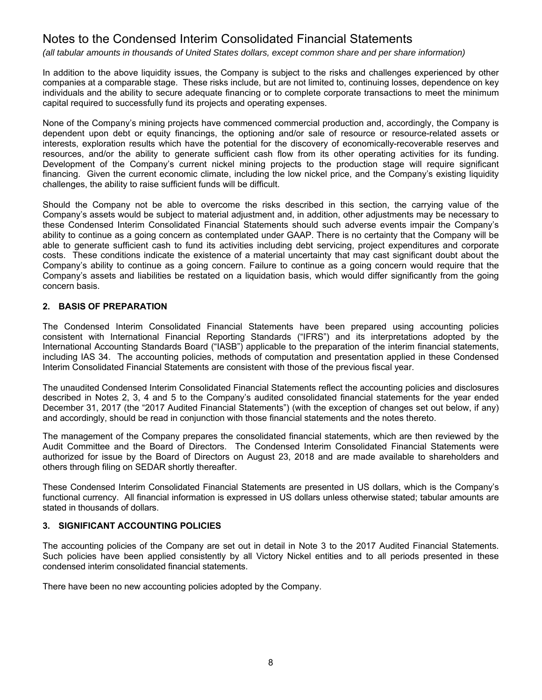*(all tabular amounts in thousands of United States dollars, except common share and per share information)*

In addition to the above liquidity issues, the Company is subject to the risks and challenges experienced by other companies at a comparable stage. These risks include, but are not limited to, continuing losses, dependence on key individuals and the ability to secure adequate financing or to complete corporate transactions to meet the minimum capital required to successfully fund its projects and operating expenses.

None of the Company's mining projects have commenced commercial production and, accordingly, the Company is dependent upon debt or equity financings, the optioning and/or sale of resource or resource-related assets or interests, exploration results which have the potential for the discovery of economically-recoverable reserves and resources, and/or the ability to generate sufficient cash flow from its other operating activities for its funding. Development of the Company's current nickel mining projects to the production stage will require significant financing. Given the current economic climate, including the low nickel price, and the Company's existing liquidity challenges, the ability to raise sufficient funds will be difficult.

Should the Company not be able to overcome the risks described in this section, the carrying value of the Company's assets would be subject to material adjustment and, in addition, other adjustments may be necessary to these Condensed Interim Consolidated Financial Statements should such adverse events impair the Company's ability to continue as a going concern as contemplated under GAAP. There is no certainty that the Company will be able to generate sufficient cash to fund its activities including debt servicing, project expenditures and corporate costs. These conditions indicate the existence of a material uncertainty that may cast significant doubt about the Company's ability to continue as a going concern. Failure to continue as a going concern would require that the Company's assets and liabilities be restated on a liquidation basis, which would differ significantly from the going concern basis.

#### **2. BASIS OF PREPARATION**

The Condensed Interim Consolidated Financial Statements have been prepared using accounting policies consistent with International Financial Reporting Standards ("IFRS") and its interpretations adopted by the International Accounting Standards Board ("IASB") applicable to the preparation of the interim financial statements, including IAS 34. The accounting policies, methods of computation and presentation applied in these Condensed Interim Consolidated Financial Statements are consistent with those of the previous fiscal year.

The unaudited Condensed Interim Consolidated Financial Statements reflect the accounting policies and disclosures described in Notes 2, 3, 4 and 5 to the Company's audited consolidated financial statements for the year ended December 31, 2017 (the "2017 Audited Financial Statements") (with the exception of changes set out below, if any) and accordingly, should be read in conjunction with those financial statements and the notes thereto.

The management of the Company prepares the consolidated financial statements, which are then reviewed by the Audit Committee and the Board of Directors. The Condensed Interim Consolidated Financial Statements were authorized for issue by the Board of Directors on August 23, 2018 and are made available to shareholders and others through filing on SEDAR shortly thereafter.

These Condensed Interim Consolidated Financial Statements are presented in US dollars, which is the Company's functional currency. All financial information is expressed in US dollars unless otherwise stated; tabular amounts are stated in thousands of dollars.

#### **3. SIGNIFICANT ACCOUNTING POLICIES**

The accounting policies of the Company are set out in detail in Note 3 to the 2017 Audited Financial Statements. Such policies have been applied consistently by all Victory Nickel entities and to all periods presented in these condensed interim consolidated financial statements.

There have been no new accounting policies adopted by the Company.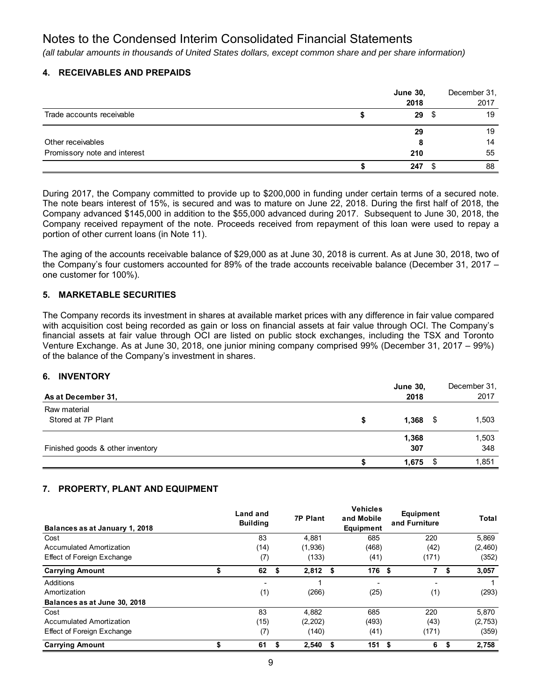*(all tabular amounts in thousands of United States dollars, except common share and per share information)*

#### **4. RECEIVABLES AND PREPAIDS**

|                              | <b>June 30,</b> | December 31, |
|------------------------------|-----------------|--------------|
|                              | 2018            | 2017         |
| Trade accounts receivable    | 29S             | 19           |
|                              | 29              | 19           |
| Other receivables            |                 | 14           |
| Promissory note and interest | 210             | 55           |
|                              | 247             | 88           |

During 2017, the Company committed to provide up to \$200,000 in funding under certain terms of a secured note. The note bears interest of 15%, is secured and was to mature on June 22, 2018. During the first half of 2018, the Company advanced \$145,000 in addition to the \$55,000 advanced during 2017. Subsequent to June 30, 2018, the Company received repayment of the note. Proceeds received from repayment of this loan were used to repay a portion of other current loans (in Note 11).

The aging of the accounts receivable balance of \$29,000 as at June 30, 2018 is current. As at June 30, 2018, two of the Company's four customers accounted for 89% of the trade accounts receivable balance (December 31, 2017 – one customer for 100%).

#### **5. MARKETABLE SECURITIES**

The Company records its investment in shares at available market prices with any difference in fair value compared with acquisition cost being recorded as gain or loss on financial assets at fair value through OCI. The Company's financial assets at fair value through OCI are listed on public stock exchanges, including the TSX and Toronto Venture Exchange. As at June 30, 2018, one junior mining company comprised 99% (December 31, 2017 – 99%) of the balance of the Company's investment in shares.

#### **6. INVENTORY**

| As at December 31,                 | <b>June 30,</b><br>2018 |   | December 31.<br>2017 |
|------------------------------------|-------------------------|---|----------------------|
| Raw material<br>Stored at 7P Plant | 1,368                   | S | 1,503                |
| Finished goods & other inventory   | 1,368<br>307            |   | 1,503<br>348         |
|                                    | 1.675                   |   | 1,851                |

#### **7. PROPERTY, PLANT AND EQUIPMENT**

| Balances as at January 1, 2018  | Land and<br><b>Building</b> |    | <b>7P Plant</b> |      | <b>Vehicles</b><br>and Mobile<br>Equipment | Equipment<br>and Furniture | <b>Total</b> |
|---------------------------------|-----------------------------|----|-----------------|------|--------------------------------------------|----------------------------|--------------|
| Cost                            | 83                          |    | 4.881           |      | 685                                        | 220                        | 5,869        |
| Accumulated Amortization        | (14)                        |    | (1,936)         |      | (468)                                      | (42)                       | (2,460)      |
| Effect of Foreign Exchange      | (7)                         |    | (133)           |      | (41)                                       | (171)                      | (352)        |
| <b>Carrying Amount</b>          | \$<br>62                    | \$ | 2,812           | - \$ | 176 <sup>5</sup>                           | 7                          | \$<br>3,057  |
| Additions                       | -                           |    |                 |      |                                            | $\overline{\phantom{0}}$   |              |
| Amortization                    | (1)                         |    | (266)           |      | (25)                                       | (1)                        | (293)        |
| Balances as at June 30, 2018    |                             |    |                 |      |                                            |                            |              |
| Cost                            | 83                          |    | 4,882           |      | 685                                        | 220                        | 5,870        |
| <b>Accumulated Amortization</b> | (15)                        |    | (2,202)         |      | (493)                                      | (43)                       | (2,753)      |
| Effect of Foreign Exchange      | (7)                         |    | (140)           |      | (41)                                       | (171)                      | (359)        |
| <b>Carrying Amount</b>          | \$<br>61                    | S  | 2,540           | \$   | 151S                                       | 6                          | \$<br>2,758  |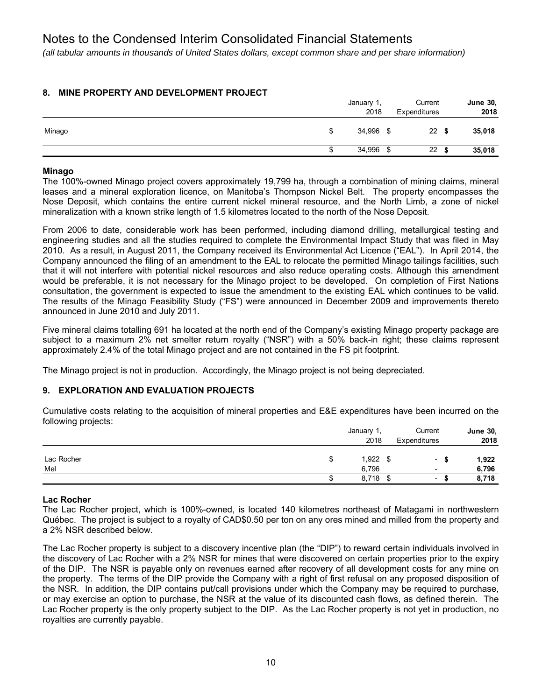*(all tabular amounts in thousands of United States dollars, except common share and per share information)*

#### **8. MINE PROPERTY AND DEVELOPMENT PROJECT**

|        | January 1,<br>2018 | Current<br>Expenditures |      | <b>June 30,</b><br>2018 |
|--------|--------------------|-------------------------|------|-------------------------|
| Minago | 34,996 \$          | 22                      | - \$ | 35,018                  |
|        | 34,996             | 22<br>ഹ                 |      | 35,018                  |

#### **Minago**

The 100%-owned Minago project covers approximately 19,799 ha, through a combination of mining claims, mineral leases and a mineral exploration licence, on Manitoba's Thompson Nickel Belt. The property encompasses the Nose Deposit, which contains the entire current nickel mineral resource, and the North Limb, a zone of nickel mineralization with a known strike length of 1.5 kilometres located to the north of the Nose Deposit.

From 2006 to date, considerable work has been performed, including diamond drilling, metallurgical testing and engineering studies and all the studies required to complete the Environmental Impact Study that was filed in May 2010. As a result, in August 2011, the Company received its Environmental Act Licence ("EAL"). In April 2014, the Company announced the filing of an amendment to the EAL to relocate the permitted Minago tailings facilities, such that it will not interfere with potential nickel resources and also reduce operating costs. Although this amendment would be preferable, it is not necessary for the Minago project to be developed. On completion of First Nations consultation, the government is expected to issue the amendment to the existing EAL which continues to be valid. The results of the Minago Feasibility Study ("FS") were announced in December 2009 and improvements thereto announced in June 2010 and July 2011.

Five mineral claims totalling 691 ha located at the north end of the Company's existing Minago property package are subject to a maximum 2% net smelter return royalty ("NSR") with a 50% back-in right; these claims represent approximately 2.4% of the total Minago project and are not contained in the FS pit footprint.

The Minago project is not in production. Accordingly, the Minago project is not being depreciated.

#### **9. EXPLORATION AND EVALUATION PROJECTS**

Cumulative costs relating to the acquisition of mineral properties and E&E expenditures have been incurred on the following projects:

|            |   | January | Current                  |      | <b>June 30,</b> |
|------------|---|---------|--------------------------|------|-----------------|
|            |   | 2018    | Expenditures             | 2018 |                 |
|            |   |         |                          |      |                 |
| Lac Rocher | ъ | 1,922   | $\overline{\phantom{a}}$ |      | 1,922           |
| Mel        |   | 6,796   | $\overline{\phantom{a}}$ |      | 6,796           |
|            |   | 8,718   | $\overline{\phantom{0}}$ |      | 8,718           |

#### **Lac Rocher**

The Lac Rocher project, which is 100%-owned, is located 140 kilometres northeast of Matagami in northwestern Québec. The project is subject to a royalty of CAD\$0.50 per ton on any ores mined and milled from the property and a 2% NSR described below.

The Lac Rocher property is subject to a discovery incentive plan (the "DIP") to reward certain individuals involved in the discovery of Lac Rocher with a 2% NSR for mines that were discovered on certain properties prior to the expiry of the DIP. The NSR is payable only on revenues earned after recovery of all development costs for any mine on the property. The terms of the DIP provide the Company with a right of first refusal on any proposed disposition of the NSR. In addition, the DIP contains put/call provisions under which the Company may be required to purchase, or may exercise an option to purchase, the NSR at the value of its discounted cash flows, as defined therein. The Lac Rocher property is the only property subject to the DIP. As the Lac Rocher property is not yet in production, no royalties are currently payable.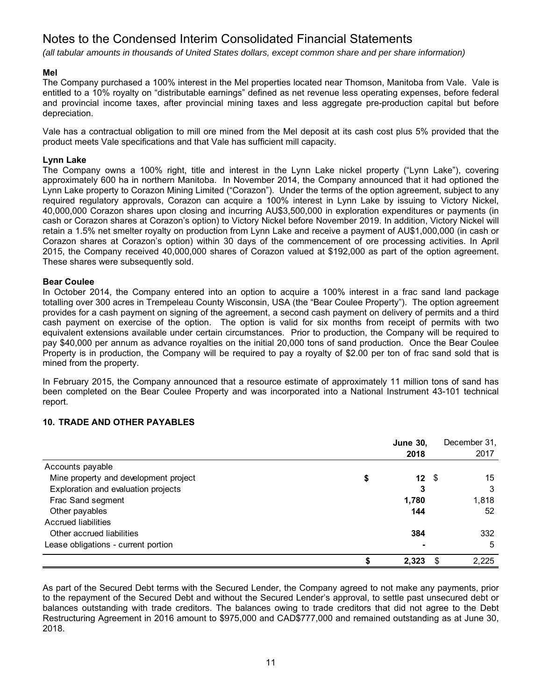*(all tabular amounts in thousands of United States dollars, except common share and per share information)*

#### **Mel**

The Company purchased a 100% interest in the Mel properties located near Thomson, Manitoba from Vale. Vale is entitled to a 10% royalty on "distributable earnings" defined as net revenue less operating expenses, before federal and provincial income taxes, after provincial mining taxes and less aggregate pre-production capital but before depreciation.

Vale has a contractual obligation to mill ore mined from the Mel deposit at its cash cost plus 5% provided that the product meets Vale specifications and that Vale has sufficient mill capacity.

#### **Lynn Lake**

The Company owns a 100% right, title and interest in the Lynn Lake nickel property ("Lynn Lake"), covering approximately 600 ha in northern Manitoba. In November 2014, the Company announced that it had optioned the Lynn Lake property to Corazon Mining Limited ("Corazon"). Under the terms of the option agreement, subject to any required regulatory approvals, Corazon can acquire a 100% interest in Lynn Lake by issuing to Victory Nickel, 40,000,000 Corazon shares upon closing and incurring AU\$3,500,000 in exploration expenditures or payments (in cash or Corazon shares at Corazon's option) to Victory Nickel before November 2019. In addition, Victory Nickel will retain a 1.5% net smelter royalty on production from Lynn Lake and receive a payment of AU\$1,000,000 (in cash or Corazon shares at Corazon's option) within 30 days of the commencement of ore processing activities. In April 2015, the Company received 40,000,000 shares of Corazon valued at \$192,000 as part of the option agreement. These shares were subsequently sold.

#### **Bear Coulee**

In October 2014, the Company entered into an option to acquire a 100% interest in a frac sand land package totalling over 300 acres in Trempeleau County Wisconsin, USA (the "Bear Coulee Property"). The option agreement provides for a cash payment on signing of the agreement, a second cash payment on delivery of permits and a third cash payment on exercise of the option. The option is valid for six months from receipt of permits with two equivalent extensions available under certain circumstances. Prior to production, the Company will be required to pay \$40,000 per annum as advance royalties on the initial 20,000 tons of sand production. Once the Bear Coulee Property is in production, the Company will be required to pay a royalty of \$2.00 per ton of frac sand sold that is mined from the property.

In February 2015, the Company announced that a resource estimate of approximately 11 million tons of sand has been completed on the Bear Coulee Property and was incorporated into a National Instrument 43-101 technical report.

#### **10. TRADE AND OTHER PAYABLES**

|                                       |   | <b>June 30,</b> |   | December 31, |
|---------------------------------------|---|-----------------|---|--------------|
|                                       |   | 2018            |   | 2017         |
| Accounts payable                      |   |                 |   |              |
| Mine property and development project | S | 12S             |   | 15           |
| Exploration and evaluation projects   |   | 3               |   | 3            |
| Frac Sand segment                     |   | 1,780           |   | 1,818        |
| Other payables                        |   | 144             |   | 52           |
| <b>Accrued liabilities</b>            |   |                 |   |              |
| Other accrued liabilities             |   | 384             |   | 332          |
| Lease obligations - current portion   |   |                 |   | 5            |
|                                       |   | 2.323           | S | 2.225        |

As part of the Secured Debt terms with the Secured Lender, the Company agreed to not make any payments, prior to the repayment of the Secured Debt and without the Secured Lender's approval, to settle past unsecured debt or balances outstanding with trade creditors. The balances owing to trade creditors that did not agree to the Debt Restructuring Agreement in 2016 amount to \$975,000 and CAD\$777,000 and remained outstanding as at June 30, 2018.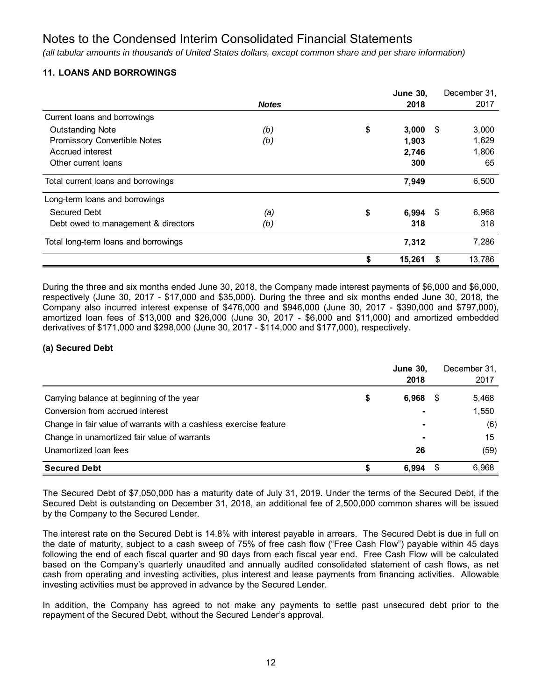*(all tabular amounts in thousands of United States dollars, except common share and per share information)*

#### **11. LOANS AND BORROWINGS**

|                                      |              | <b>June 30,</b> |      | December 31, |
|--------------------------------------|--------------|-----------------|------|--------------|
|                                      | <b>Notes</b> | 2018            |      | 2017         |
| Current loans and borrowings         |              |                 |      |              |
| <b>Outstanding Note</b>              | (b)          | \$<br>3,000     | \$   | 3,000        |
| Promissory Convertible Notes         | (b)          | 1,903           |      | 1,629        |
| Accrued interest                     |              | 2,746           |      | 1,806        |
| Other current loans                  |              | 300             |      | 65           |
| Total current loans and borrowings   |              | 7,949           |      | 6,500        |
| Long-term loans and borrowings       |              |                 |      |              |
| <b>Secured Debt</b>                  | (a)          | \$<br>6,994     | - \$ | 6,968        |
| Debt owed to management & directors  | (b)          | 318             |      | 318          |
| Total long-term loans and borrowings |              | 7,312           |      | 7,286        |
|                                      |              | 15,261          | \$   | 13,786       |

During the three and six months ended June 30, 2018, the Company made interest payments of \$6,000 and \$6,000, respectively (June 30, 2017 - \$17,000 and \$35,000). During the three and six months ended June 30, 2018, the Company also incurred interest expense of \$476,000 and \$946,000 (June 30, 2017 - \$390,000 and \$797,000), amortized loan fees of \$13,000 and \$26,000 (June 30, 2017 - \$6,000 and \$11,000) and amortized embedded derivatives of \$171,000 and \$298,000 (June 30, 2017 - \$114,000 and \$177,000), respectively.

#### **(a) Secured Debt**

|                                                                   | <b>June 30,</b><br>2018 |      | December 31,<br>2017 |
|-------------------------------------------------------------------|-------------------------|------|----------------------|
| Carrying balance at beginning of the year                         | \$<br>6,968             | -5   | 5,468                |
| Conversion from accrued interest                                  |                         |      | 1,550                |
| Change in fair value of warrants with a cashless exercise feature | $\blacksquare$          |      | (6)                  |
| Change in unamortized fair value of warrants                      | $\blacksquare$          |      | 15                   |
| Unamortized loan fees                                             | 26                      |      | (59)                 |
| <b>Secured Debt</b>                                               | 6.994                   | - \$ | 6,968                |

The Secured Debt of \$7,050,000 has a maturity date of July 31, 2019. Under the terms of the Secured Debt, if the Secured Debt is outstanding on December 31, 2018, an additional fee of 2,500,000 common shares will be issued by the Company to the Secured Lender.

The interest rate on the Secured Debt is 14.8% with interest payable in arrears. The Secured Debt is due in full on the date of maturity, subject to a cash sweep of 75% of free cash flow ("Free Cash Flow") payable within 45 days following the end of each fiscal quarter and 90 days from each fiscal year end. Free Cash Flow will be calculated based on the Company's quarterly unaudited and annually audited consolidated statement of cash flows, as net cash from operating and investing activities, plus interest and lease payments from financing activities. Allowable investing activities must be approved in advance by the Secured Lender.

In addition, the Company has agreed to not make any payments to settle past unsecured debt prior to the repayment of the Secured Debt, without the Secured Lender's approval.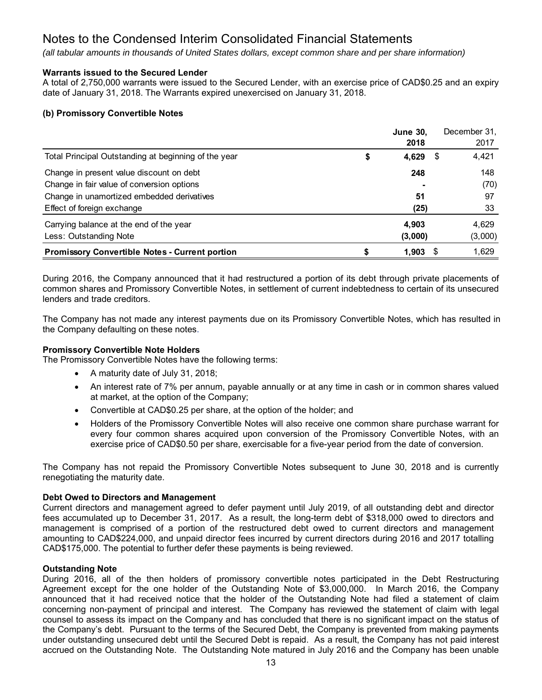*(all tabular amounts in thousands of United States dollars, except common share and per share information)*

#### **Warrants issued to the Secured Lender**

A total of 2,750,000 warrants were issued to the Secured Lender, with an exercise price of CAD\$0.25 and an expiry date of January 31, 2018. The Warrants expired unexercised on January 31, 2018.

#### **(b) Promissory Convertible Notes**

|                                                       | <b>June 30,</b> |    | December 31, |
|-------------------------------------------------------|-----------------|----|--------------|
|                                                       | 2018            |    | 2017         |
| Total Principal Outstanding at beginning of the year  | 4,629           | S. | 4,421        |
| Change in present value discount on debt              | 248             |    | 148          |
| Change in fair value of conversion options            |                 |    | (70)         |
| Change in unamortized embedded derivatives            | 51              |    | 97           |
| Effect of foreign exchange                            | (25)            |    | 33           |
| Carrying balance at the end of the year               | 4,903           |    | 4,629        |
| Less: Outstanding Note                                | (3,000)         |    | (3,000)      |
| <b>Promissory Convertible Notes - Current portion</b> | 1,903           |    | 1,629        |

During 2016, the Company announced that it had restructured a portion of its debt through private placements of common shares and Promissory Convertible Notes, in settlement of current indebtedness to certain of its unsecured lenders and trade creditors.

The Company has not made any interest payments due on its Promissory Convertible Notes, which has resulted in the Company defaulting on these notes.

#### **Promissory Convertible Note Holders**

The Promissory Convertible Notes have the following terms:

- A maturity date of July 31, 2018;
- An interest rate of 7% per annum, payable annually or at any time in cash or in common shares valued at market, at the option of the Company;
- Convertible at CAD\$0.25 per share, at the option of the holder; and
- Holders of the Promissory Convertible Notes will also receive one common share purchase warrant for every four common shares acquired upon conversion of the Promissory Convertible Notes, with an exercise price of CAD\$0.50 per share, exercisable for a five-year period from the date of conversion.

The Company has not repaid the Promissory Convertible Notes subsequent to June 30, 2018 and is currently renegotiating the maturity date.

#### **Debt Owed to Directors and Management**

Current directors and management agreed to defer payment until July 2019, of all outstanding debt and director fees accumulated up to December 31, 2017. As a result, the long-term debt of \$318,000 owed to directors and management is comprised of a portion of the restructured debt owed to current directors and management amounting to CAD\$224,000, and unpaid director fees incurred by current directors during 2016 and 2017 totalling CAD\$175,000. The potential to further defer these payments is being reviewed.

#### **Outstanding Note**

During 2016, all of the then holders of promissory convertible notes participated in the Debt Restructuring Agreement except for the one holder of the Outstanding Note of \$3,000,000. In March 2016, the Company announced that it had received notice that the holder of the Outstanding Note had filed a statement of claim concerning non-payment of principal and interest. The Company has reviewed the statement of claim with legal counsel to assess its impact on the Company and has concluded that there is no significant impact on the status of the Company's debt. Pursuant to the terms of the Secured Debt, the Company is prevented from making payments under outstanding unsecured debt until the Secured Debt is repaid. As a result, the Company has not paid interest accrued on the Outstanding Note. The Outstanding Note matured in July 2016 and the Company has been unable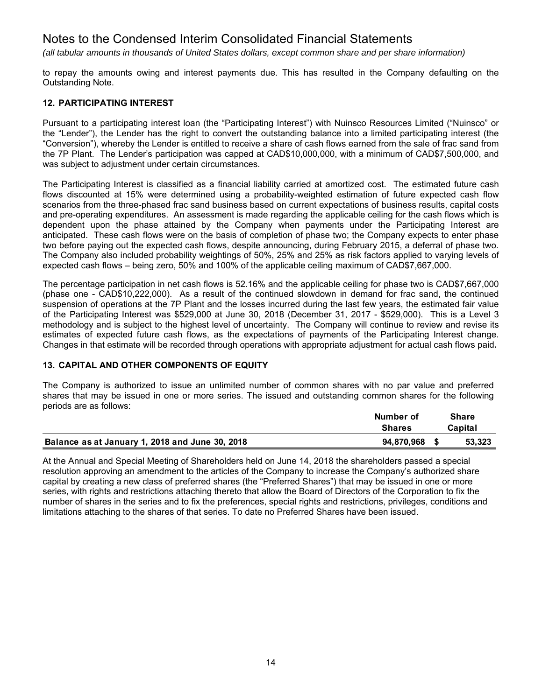*(all tabular amounts in thousands of United States dollars, except common share and per share information)*

to repay the amounts owing and interest payments due. This has resulted in the Company defaulting on the Outstanding Note.

#### **12. PARTICIPATING INTEREST**

Pursuant to a participating interest loan (the "Participating Interest") with Nuinsco Resources Limited ("Nuinsco" or the "Lender"), the Lender has the right to convert the outstanding balance into a limited participating interest (the "Conversion"), whereby the Lender is entitled to receive a share of cash flows earned from the sale of frac sand from the 7P Plant. The Lender's participation was capped at CAD\$10,000,000, with a minimum of CAD\$7,500,000, and was subject to adjustment under certain circumstances.

The Participating Interest is classified as a financial liability carried at amortized cost. The estimated future cash flows discounted at 15% were determined using a probability-weighted estimation of future expected cash flow scenarios from the three-phased frac sand business based on current expectations of business results, capital costs and pre-operating expenditures. An assessment is made regarding the applicable ceiling for the cash flows which is dependent upon the phase attained by the Company when payments under the Participating Interest are anticipated. These cash flows were on the basis of completion of phase two; the Company expects to enter phase two before paying out the expected cash flows, despite announcing, during February 2015, a deferral of phase two. The Company also included probability weightings of 50%, 25% and 25% as risk factors applied to varying levels of expected cash flows – being zero, 50% and 100% of the applicable ceiling maximum of CAD\$7,667,000.

The percentage participation in net cash flows is 52.16% and the applicable ceiling for phase two is CAD\$7,667,000 (phase one - CAD\$10,222,000). As a result of the continued slowdown in demand for frac sand, the continued suspension of operations at the 7P Plant and the losses incurred during the last few years, the estimated fair value of the Participating Interest was \$529,000 at June 30, 2018 (December 31, 2017 - \$529,000). This is a Level 3 methodology and is subject to the highest level of uncertainty. The Company will continue to review and revise its estimates of expected future cash flows, as the expectations of payments of the Participating Interest change. Changes in that estimate will be recorded through operations with appropriate adjustment for actual cash flows paid**.** 

#### **13. CAPITAL AND OTHER COMPONENTS OF EQUITY**

The Company is authorized to issue an unlimited number of common shares with no par value and preferred shares that may be issued in one or more series. The issued and outstanding common shares for the following periods are as follows:

|                                                 | Number of     |  | <b>Share</b> |
|-------------------------------------------------|---------------|--|--------------|
|                                                 | <b>Shares</b> |  | Capital      |
| Balance as at January 1, 2018 and June 30, 2018 | 94.870.968    |  | 53.323       |

At the Annual and Special Meeting of Shareholders held on June 14, 2018 the shareholders passed a special resolution approving an amendment to the articles of the Company to increase the Company's authorized share capital by creating a new class of preferred shares (the "Preferred Shares") that may be issued in one or more series, with rights and restrictions attaching thereto that allow the Board of Directors of the Corporation to fix the number of shares in the series and to fix the preferences, special rights and restrictions, privileges, conditions and limitations attaching to the shares of that series. To date no Preferred Shares have been issued.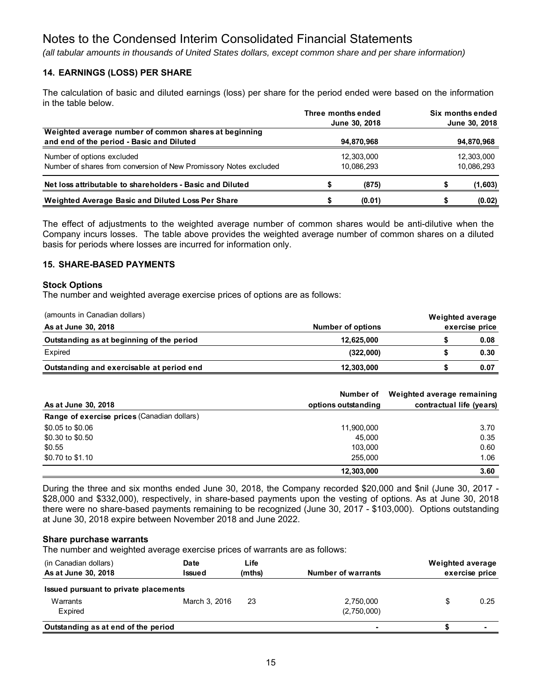*(all tabular amounts in thousands of United States dollars, except common share and per share information)*

#### **14. EARNINGS (LOSS) PER SHARE**

The calculation of basic and diluted earnings (loss) per share for the period ended were based on the information in the table below.

|                                                                                                    | Three months ended |  | Six months ended |
|----------------------------------------------------------------------------------------------------|--------------------|--|------------------|
|                                                                                                    | June 30, 2018      |  | June 30, 2018    |
| Weighted average number of common shares at beginning<br>and end of the period - Basic and Diluted | 94,870,968         |  | 94,870,968       |
| Number of options excluded                                                                         | 12,303,000         |  | 12,303,000       |
| Number of shares from conversion of New Promissory Notes excluded                                  | 10,086,293         |  | 10,086,293       |
| Net loss attributable to shareholders - Basic and Diluted                                          | (875)              |  | (1,603)          |
| Weighted Average Basic and Diluted Loss Per Share                                                  | (0.01)             |  | (0.02)           |

The effect of adjustments to the weighted average number of common shares would be anti-dilutive when the Company incurs losses. The table above provides the weighted average number of common shares on a diluted basis for periods where losses are incurred for information only.

#### **15. SHARE-BASED PAYMENTS**

#### **Stock Options**

The number and weighted average exercise prices of options are as follows:

| (amounts in Canadian dollars)             |                   | Weighted average |                |
|-------------------------------------------|-------------------|------------------|----------------|
| As at June 30, 2018                       | Number of options |                  | exercise price |
| Outstanding as at beginning of the period | 12,625,000        |                  | 0.08           |
| Expired                                   | (322,000)         |                  | 0.30           |
| Outstanding and exercisable at period end | 12,303,000        |                  | 0.07           |

|                                             | Number of           | Weighted average remaining |
|---------------------------------------------|---------------------|----------------------------|
| As at June 30, 2018                         | options outstanding | contractual life (years)   |
| Range of exercise prices (Canadian dollars) |                     |                            |
| \$0.05 to \$0.06                            | 11,900,000          | 3.70                       |
| \$0.30 to \$0.50                            | 45.000              | 0.35                       |
| \$0.55                                      | 103.000             | 0.60                       |
| \$0.70 to \$1.10                            | 255,000             | 1.06                       |
|                                             | 12,303,000          | 3.60                       |

During the three and six months ended June 30, 2018, the Company recorded \$20,000 and \$nil (June 30, 2017 - \$28,000 and \$332,000), respectively, in share-based payments upon the vesting of options. As at June 30, 2018 there were no share-based payments remaining to be recognized (June 30, 2017 - \$103,000). Options outstanding at June 30, 2018 expire between November 2018 and June 2022.

#### **Share purchase warrants**

The number and weighted average exercise prices of warrants are as follows:

| (in Canadian dollars)                 | Date          | Life   |                           | <b>Weighted average</b> |                |
|---------------------------------------|---------------|--------|---------------------------|-------------------------|----------------|
| As at June 30, 2018                   | Issued        | (mths) | <b>Number of warrants</b> |                         | exercise price |
| Issued pursuant to private placements |               |        |                           |                         |                |
| Warrants                              | March 3, 2016 | 23     | 2,750,000                 |                         | 0.25           |
| Expired                               |               |        | (2,750,000)               |                         |                |
| Outstanding as at end of the period   |               |        | $\blacksquare$            |                         | $\blacksquare$ |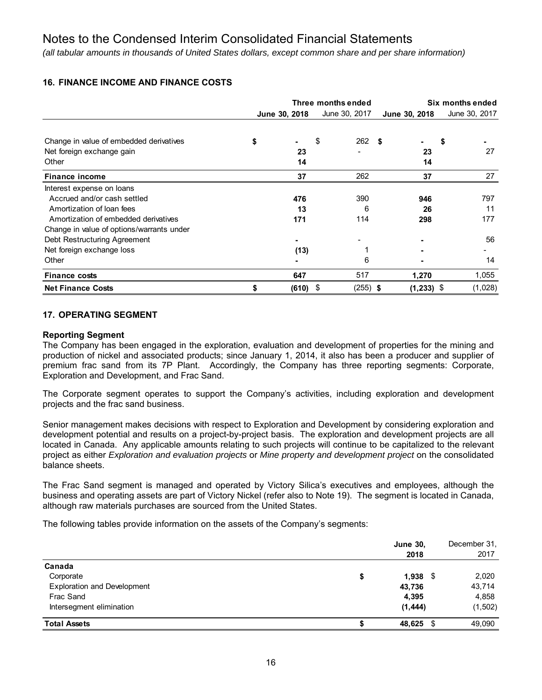*(all tabular amounts in thousands of United States dollars, except common share and per share information)*

#### **16. FINANCE INCOME AND FINANCE COSTS**

|                                           | Three months ended |                |    | Six months ended |               |                |
|-------------------------------------------|--------------------|----------------|----|------------------|---------------|----------------|
|                                           |                    | June 30, 2018  |    | June 30, 2017    | June 30, 2018 | June 30, 2017  |
|                                           |                    |                |    |                  |               |                |
| Change in value of embedded derivatives   | \$                 | $\blacksquare$ | S  | 262              | -S            | S              |
| Net foreign exchange gain                 |                    | 23             |    |                  | 23            | 27             |
| Other                                     |                    | 14             |    |                  | 14            |                |
| <b>Finance income</b>                     |                    | 37             |    | 262              | 37            | 27             |
| Interest expense on loans                 |                    |                |    |                  |               |                |
| Accrued and/or cash settled               |                    | 476            |    | 390              | 946           | 797            |
| Amortization of loan fees                 |                    | 13             |    | 6                | 26            | 11             |
| Amortization of embedded derivatives      |                    | 171            |    | 114              | 298           | 177            |
| Change in value of options/warrants under |                    |                |    |                  |               |                |
| Debt Restructuring Agreement              |                    |                |    |                  |               | 56             |
| Net foreign exchange loss                 |                    | (13)           |    |                  |               |                |
| Other                                     |                    |                |    | 6                |               | 14             |
| <b>Finance costs</b>                      |                    | 647            |    | 517              | 1,270         | 1,055          |
| <b>Net Finance Costs</b>                  |                    | (610)          | \$ | $(255)$ \$       | (1, 233)      | (1,028)<br>-\$ |

#### **17. OPERATING SEGMENT**

#### **Reporting Segment**

The Company has been engaged in the exploration, evaluation and development of properties for the mining and production of nickel and associated products; since January 1, 2014, it also has been a producer and supplier of premium frac sand from its 7P Plant. Accordingly, the Company has three reporting segments: Corporate, Exploration and Development, and Frac Sand.

The Corporate segment operates to support the Company's activities, including exploration and development projects and the frac sand business.

Senior management makes decisions with respect to Exploration and Development by considering exploration and development potential and results on a project-by-project basis. The exploration and development projects are all located in Canada. Any applicable amounts relating to such projects will continue to be capitalized to the relevant project as either *Exploration and evaluation projects* or *Mine property and development project* on the consolidated balance sheets.

The Frac Sand segment is managed and operated by Victory Silica's executives and employees, although the business and operating assets are part of Victory Nickel (refer also to Note 19). The segment is located in Canada, although raw materials purchases are sourced from the United States.

The following tables provide information on the assets of the Company's segments:

|                                    | <b>June 30,</b><br>2018 | December 31.<br>2017 |
|------------------------------------|-------------------------|----------------------|
| Canada                             |                         |                      |
| Corporate                          | \$<br>$1,938$ \$        | 2,020                |
| <b>Exploration and Development</b> | 43,736                  | 43,714               |
| Frac Sand                          | 4,395                   | 4,858                |
| Intersegment elimination           | (1, 444)                | (1, 502)             |
| <b>Total Assets</b>                | 48,625 \$               | 49,090               |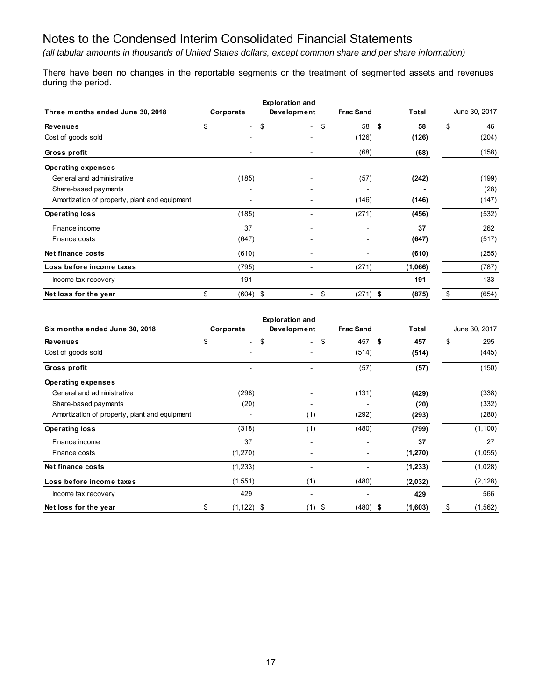*(all tabular amounts in thousands of United States dollars, except common share and per share information)*

There have been no changes in the reportable segments or the treatment of segmented assets and revenues during the period.

|                                               | <b>Exploration and</b> |                                |                                    |                  |            |               |       |
|-----------------------------------------------|------------------------|--------------------------------|------------------------------------|------------------|------------|---------------|-------|
| Three months ended June 30, 2018              | Corporate              |                                | Development                        | <b>Frac Sand</b> | Total      | June 30, 2017 |       |
| <b>Revenues</b>                               | \$                     | \$<br>$\overline{\phantom{a}}$ | \$<br>$\sim$                       | 58               | - \$<br>58 | \$            | 46    |
| Cost of goods sold                            |                        |                                |                                    | (126)            | (126)      |               | (204) |
| Gross profit                                  |                        | $\blacksquare$                 |                                    | (68)             | (68)       |               | (158) |
| <b>Operating expenses</b>                     |                        |                                |                                    |                  |            |               |       |
| General and administrative                    |                        | (185)                          |                                    | (57)             | (242)      |               | (199) |
| Share-based payments                          |                        |                                |                                    |                  |            |               | (28)  |
| Amortization of property, plant and equipment |                        |                                |                                    | (146)            | (146)      |               | (147) |
| <b>Operating loss</b>                         |                        | (185)                          |                                    | (271)            | (456)      |               | (532) |
| Finance income                                |                        | 37                             |                                    |                  | 37         |               | 262   |
| Finance costs                                 |                        | (647)                          |                                    |                  | (647)      |               | (517) |
| Net finance costs                             |                        | (610)                          |                                    |                  | (610)      |               | (255) |
| Loss before income taxes                      |                        | (795)                          | $\overline{\phantom{0}}$           | (271)            | (1,066)    |               | (787) |
| Income tax recovery                           |                        | 191                            |                                    |                  | 191        |               | 133   |
| Net loss for the year                         | \$                     | $(604)$ \$                     | \$<br>$\qquad \qquad \blacksquare$ | $(271)$ \$       | (875)      | \$            | (654) |

| <b>Exploration and</b>                        |                                |                                      |                  |          |                |  |  |
|-----------------------------------------------|--------------------------------|--------------------------------------|------------------|----------|----------------|--|--|
| Six months ended June 30, 2018                | Corporate                      | Development                          | <b>Frac Sand</b> | Total    | June 30, 2017  |  |  |
| <b>Revenues</b>                               | \$<br>$\overline{\phantom{0}}$ | \$<br>\$<br>$\overline{\phantom{0}}$ | 457<br>\$        | 457      | \$<br>295      |  |  |
| Cost of goods sold                            |                                |                                      | (514)            | (514)    | (445)          |  |  |
| Gross profit                                  |                                |                                      | (57)             | (57)     | (150)          |  |  |
| <b>Operating expenses</b>                     |                                |                                      |                  |          |                |  |  |
| General and administrative                    | (298)                          |                                      | (131)            | (429)    | (338)          |  |  |
| Share-based payments                          | (20)                           |                                      |                  | (20)     | (332)          |  |  |
| Amortization of property, plant and equipment |                                | (1)                                  | (292)            | (293)    | (280)          |  |  |
| <b>Operating loss</b>                         | (318)                          | (1)                                  | (480)            | (799)    | (1, 100)       |  |  |
| Finance income                                | 37                             |                                      |                  | 37       | 27             |  |  |
| Finance costs                                 | (1,270)                        |                                      |                  | (1, 270) | (1,055)        |  |  |
| Net finance costs                             | (1,233)                        |                                      |                  | (1, 233) | (1,028)        |  |  |
| Loss before income taxes                      | (1,551)                        | (1)                                  | (480)            | (2,032)  | (2, 128)       |  |  |
| Income tax recovery                           | 429                            |                                      |                  | 429      | 566            |  |  |
| Net loss for the year                         | \$<br>$(1, 122)$ \$            | (1)<br>\$                            | (480)<br>\$      | (1,603)  | \$<br>(1, 562) |  |  |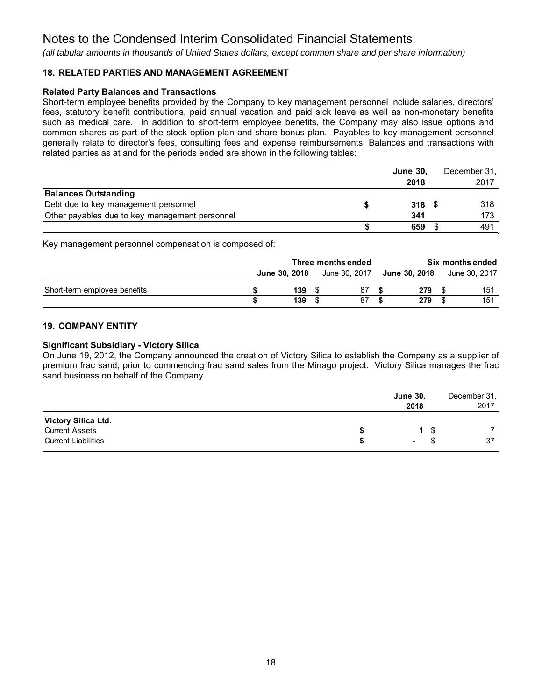*(all tabular amounts in thousands of United States dollars, except common share and per share information)*

#### **18. RELATED PARTIES AND MANAGEMENT AGREEMENT**

#### **Related Party Balances and Transactions**

Short-term employee benefits provided by the Company to key management personnel include salaries, directors' fees, statutory benefit contributions, paid annual vacation and paid sick leave as well as non-monetary benefits such as medical care. In addition to short-term employee benefits, the Company may also issue options and common shares as part of the stock option plan and share bonus plan. Payables to key management personnel generally relate to director's fees, consulting fees and expense reimbursements. Balances and transactions with related parties as at and for the periods ended are shown in the following tables:

|                                                | <b>June 30,</b>  | December 31, |
|------------------------------------------------|------------------|--------------|
|                                                | 2018             | 2017         |
| <b>Balances Outstanding</b>                    |                  |              |
| Debt due to key management personnel           | 318 <sup>°</sup> | 318          |
| Other payables due to key management personnel | 341              | 173          |
|                                                | 659              | 491          |

Key management personnel compensation is composed of:

|                              | Three months ended |               |  |               | Six months ended |               |  |               |
|------------------------------|--------------------|---------------|--|---------------|------------------|---------------|--|---------------|
|                              |                    | June 30, 2018 |  | June 30, 2017 |                  | June 30, 2018 |  | June 30, 2017 |
| Short-term employee benefits |                    | 139           |  | 87            |                  | 279           |  | 151           |
|                              |                    | 139           |  | 87            |                  | 279           |  | 151           |

#### **19. COMPANY ENTITY**

#### **Significant Subsidiary - Victory Silica**

On June 19, 2012, the Company announced the creation of Victory Silica to establish the Company as a supplier of premium frac sand, prior to commencing frac sand sales from the Minago project. Victory Silica manages the frac sand business on behalf of the Company.

|                                                                            | <b>June 30,</b><br>2018 |           | December 31,<br>2017 |
|----------------------------------------------------------------------------|-------------------------|-----------|----------------------|
| Victory Silica Ltd.<br><b>Current Assets</b><br><b>Current Liabilities</b> | $\sim$                  | 1 \$<br>Ъ | 37                   |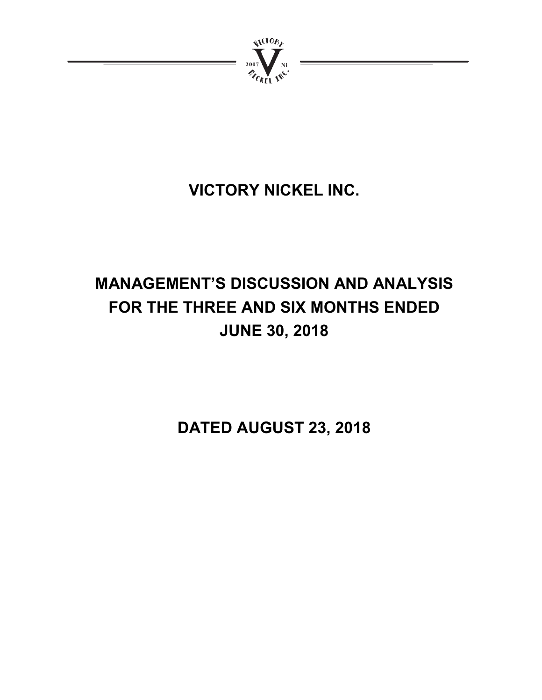

# **VICTORY NICKEL INC.**

# **MANAGEMENT'S DISCUSSION AND ANALYSIS FOR THE THREE AND SIX MONTHS ENDED JUNE 30, 2018**

**DATED AUGUST 23, 2018**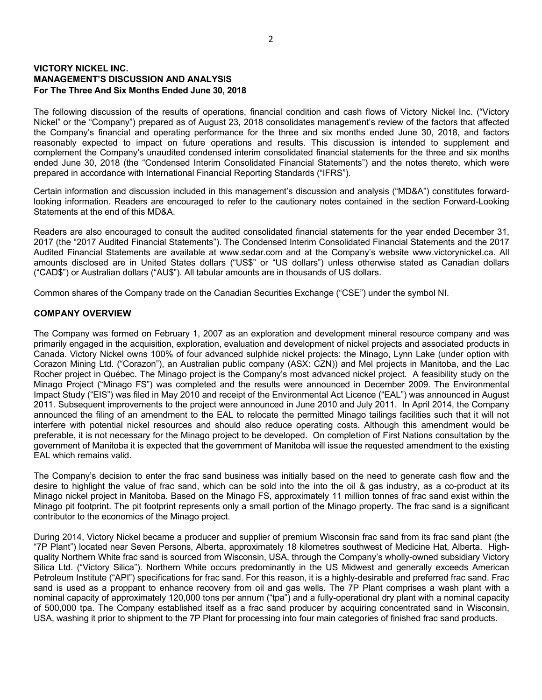#### **VICTORY NICKEL INC. MANAGEMENT'S DISCUSSION AND ANALYSIS For The Three And Six Months Ended June 30, 2018**

The following discussion of the results of operations, financial condition and cash flows of Victory Nickel Inc. ("Victory Nickel" or the "Company") prepared as of August 23, 2018 consolidates management's review of the factors that affected the Company's financial and operating performance for the three and six months ended June 30, 2018, and factors reasonably expected to impact on future operations and results. This discussion is intended to supplement and complement the Company's unaudited condensed interim consolidated financial statements for the three and six months ended June 30, 2018 (the "Condensed Interim Consolidated Financial Statements") and the notes thereto, which were prepared in accordance with International Financial Reporting Standards ("IFRS").

Certain information and discussion included in this management's discussion and analysis ("MD&A") constitutes forwardlooking information. Readers are encouraged to refer to the cautionary notes contained in the section Forward-Looking Statements at the end of this MD&A.

Readers are also encouraged to consult the audited consolidated financial statements for the year ended December 31, 2017 (the "2017 Audited Financial Statements"). The Condensed Interim Consolidated Financial Statements and the 2017 Audited Financial Statements are available at www.sedar.com and at the Company's website www.victorynickel.ca. All amounts disclosed are in United States dollars ("US\$" or "US dollars") unless otherwise stated as Canadian dollars ("CAD\$") or Australian dollars ("AU\$"). All tabular amounts are in thousands of US dollars.

Common shares of the Company trade on the Canadian Securities Exchange ("CSE") under the symbol NI.

#### **COMPANY OVERVIEW**

The Company was formed on February 1, 2007 as an exploration and development mineral resource company and was primarily engaged in the acquisition, exploration, evaluation and development of nickel projects and associated products in Canada. Victory Nickel owns 100% of four advanced sulphide nickel projects: the Minago, Lynn Lake (under option with Corazon Mining Ltd. ("Corazon"), an Australian public company (ASX: CZN)) and Mel projects in Manitoba, and the Lac Rocher project in Québec. The Minago project is the Company's most advanced nickel project. A feasibility study on the Minago Project ("Minago FS") was completed and the results were announced in December 2009. The Environmental Impact Study ("EIS") was filed in May 2010 and receipt of the Environmental Act Licence ("EAL") was announced in August 2011. Subsequent improvements to the project were announced in June 2010 and July 2011. In April 2014, the Company announced the filing of an amendment to the EAL to relocate the permitted Minago tailings facilities such that it will not interfere with potential nickel resources and should also reduce operating costs. Although this amendment would be preferable, it is not necessary for the Minago project to be developed. On completion of First Nations consultation by the government of Manitoba it is expected that the government of Manitoba will issue the requested amendment to the existing EAL which remains valid.

The Company's decision to enter the frac sand business was initially based on the need to generate cash flow and the desire to highlight the value of frac sand, which can be sold into the into the oil & gas industry, as a co-product at its Minago nickel project in Manitoba. Based on the Minago FS, approximately 11 million tonnes of frac sand exist within the Minago pit footprint. The pit footprint represents only a small portion of the Minago property. The frac sand is a significant contributor to the economics of the Minago project.

During 2014, Victory Nickel became a producer and supplier of premium Wisconsin frac sand from its frac sand plant (the "7P Plant") located near Seven Persons, Alberta, approximately 18 kilometres southwest of Medicine Hat, Alberta. Highquality Northern White frac sand is sourced from Wisconsin, USA, through the Company's wholly-owned subsidiary Victory Silica Ltd. ("Victory Silica"). Northern White occurs predominantly in the US Midwest and generally exceeds American Petroleum Institute ("API") specifications for frac sand. For this reason, it is a highly-desirable and preferred frac sand. Frac sand is used as a proppant to enhance recovery from oil and gas wells. The 7P Plant comprises a wash plant with a nominal capacity of approximately 120,000 tons per annum ("tpa") and a fully-operational dry plant with a nominal capacity of 500,000 tpa. The Company established itself as a frac sand producer by acquiring concentrated sand in Wisconsin, USA, washing it prior to shipment to the 7P Plant for processing into four main categories of finished frac sand products.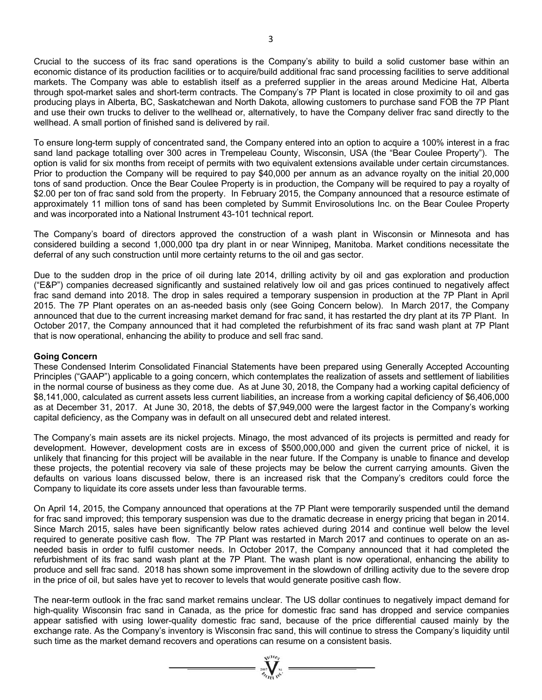Crucial to the success of its frac sand operations is the Company's ability to build a solid customer base within an economic distance of its production facilities or to acquire/build additional frac sand processing facilities to serve additional markets. The Company was able to establish itself as a preferred supplier in the areas around Medicine Hat, Alberta through spot-market sales and short-term contracts. The Company's 7P Plant is located in close proximity to oil and gas producing plays in Alberta, BC, Saskatchewan and North Dakota, allowing customers to purchase sand FOB the 7P Plant and use their own trucks to deliver to the wellhead or, alternatively, to have the Company deliver frac sand directly to the wellhead. A small portion of finished sand is delivered by rail.

To ensure long-term supply of concentrated sand, the Company entered into an option to acquire a 100% interest in a frac sand land package totalling over 300 acres in Trempeleau County, Wisconsin, USA (the "Bear Coulee Property"). The option is valid for six months from receipt of permits with two equivalent extensions available under certain circumstances. Prior to production the Company will be required to pay \$40,000 per annum as an advance royalty on the initial 20,000 tons of sand production. Once the Bear Coulee Property is in production, the Company will be required to pay a royalty of \$2.00 per ton of frac sand sold from the property. In February 2015, the Company announced that a resource estimate of approximately 11 million tons of sand has been completed by Summit Envirosolutions Inc. on the Bear Coulee Property and was incorporated into a National Instrument 43-101 technical report.

The Company's board of directors approved the construction of a wash plant in Wisconsin or Minnesota and has considered building a second 1,000,000 tpa dry plant in or near Winnipeg, Manitoba. Market conditions necessitate the deferral of any such construction until more certainty returns to the oil and gas sector.

Due to the sudden drop in the price of oil during late 2014, drilling activity by oil and gas exploration and production ("E&P") companies decreased significantly and sustained relatively low oil and gas prices continued to negatively affect frac sand demand into 2018. The drop in sales required a temporary suspension in production at the 7P Plant in April 2015. The 7P Plant operates on an as-needed basis only (see Going Concern below). In March 2017, the Company announced that due to the current increasing market demand for frac sand, it has restarted the dry plant at its 7P Plant. In October 2017, the Company announced that it had completed the refurbishment of its frac sand wash plant at 7P Plant that is now operational, enhancing the ability to produce and sell frac sand.

#### **Going Concern**

These Condensed Interim Consolidated Financial Statements have been prepared using Generally Accepted Accounting Principles ("GAAP") applicable to a going concern, which contemplates the realization of assets and settlement of liabilities in the normal course of business as they come due. As at June 30, 2018, the Company had a working capital deficiency of \$8,141,000, calculated as current assets less current liabilities, an increase from a working capital deficiency of \$6,406,000 as at December 31, 2017. At June 30, 2018, the debts of \$7,949,000 were the largest factor in the Company's working capital deficiency, as the Company was in default on all unsecured debt and related interest.

The Company's main assets are its nickel projects. Minago, the most advanced of its projects is permitted and ready for development. However, development costs are in excess of \$500,000,000 and given the current price of nickel, it is unlikely that financing for this project will be available in the near future. If the Company is unable to finance and develop these projects, the potential recovery via sale of these projects may be below the current carrying amounts. Given the defaults on various loans discussed below, there is an increased risk that the Company's creditors could force the Company to liquidate its core assets under less than favourable terms.

On April 14, 2015, the Company announced that operations at the 7P Plant were temporarily suspended until the demand for frac sand improved; this temporary suspension was due to the dramatic decrease in energy pricing that began in 2014. Since March 2015, sales have been significantly below rates achieved during 2014 and continue well below the level required to generate positive cash flow. The 7P Plant was restarted in March 2017 and continues to operate on an asneeded basis in order to fulfil customer needs. In October 2017, the Company announced that it had completed the refurbishment of its frac sand wash plant at the 7P Plant. The wash plant is now operational, enhancing the ability to produce and sell frac sand. 2018 has shown some improvement in the slowdown of drilling activity due to the severe drop in the price of oil, but sales have yet to recover to levels that would generate positive cash flow.

The near-term outlook in the frac sand market remains unclear. The US dollar continues to negatively impact demand for high-quality Wisconsin frac sand in Canada, as the price for domestic frac sand has dropped and service companies appear satisfied with using lower-quality domestic frac sand, because of the price differential caused mainly by the exchange rate. As the Company's inventory is Wisconsin frac sand, this will continue to stress the Company's liquidity until such time as the market demand recovers and operations can resume on a consistent basis.

=  $\sum_{i=1}^{n} \sum_{j=1}^{n} x_i$  =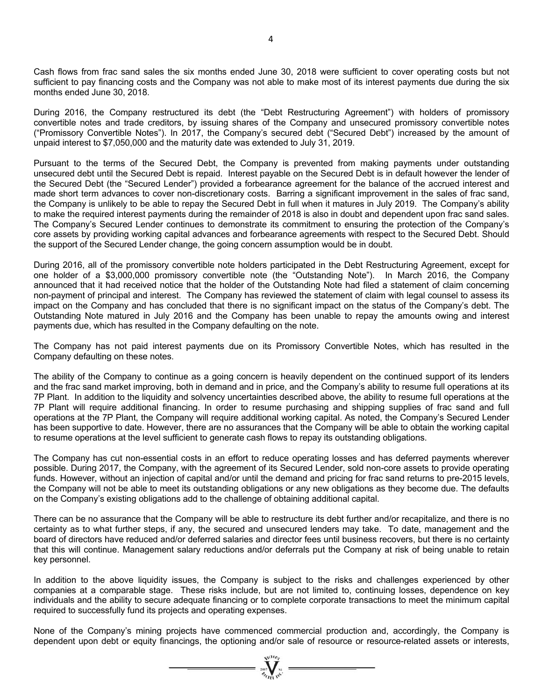Cash flows from frac sand sales the six months ended June 30, 2018 were sufficient to cover operating costs but not sufficient to pay financing costs and the Company was not able to make most of its interest payments due during the six months ended June 30, 2018.

During 2016, the Company restructured its debt (the "Debt Restructuring Agreement") with holders of promissory convertible notes and trade creditors, by issuing shares of the Company and unsecured promissory convertible notes ("Promissory Convertible Notes"). In 2017, the Company's secured debt ("Secured Debt") increased by the amount of unpaid interest to \$7,050,000 and the maturity date was extended to July 31, 2019.

Pursuant to the terms of the Secured Debt, the Company is prevented from making payments under outstanding unsecured debt until the Secured Debt is repaid. Interest payable on the Secured Debt is in default however the lender of the Secured Debt (the "Secured Lender") provided a forbearance agreement for the balance of the accrued interest and made short term advances to cover non-discretionary costs. Barring a significant improvement in the sales of frac sand, the Company is unlikely to be able to repay the Secured Debt in full when it matures in July 2019. The Company's ability to make the required interest payments during the remainder of 2018 is also in doubt and dependent upon frac sand sales. The Company's Secured Lender continues to demonstrate its commitment to ensuring the protection of the Company's core assets by providing working capital advances and forbearance agreements with respect to the Secured Debt. Should the support of the Secured Lender change, the going concern assumption would be in doubt.

During 2016, all of the promissory convertible note holders participated in the Debt Restructuring Agreement, except for one holder of a \$3,000,000 promissory convertible note (the "Outstanding Note"). In March 2016, the Company announced that it had received notice that the holder of the Outstanding Note had filed a statement of claim concerning non-payment of principal and interest. The Company has reviewed the statement of claim with legal counsel to assess its impact on the Company and has concluded that there is no significant impact on the status of the Company's debt. The Outstanding Note matured in July 2016 and the Company has been unable to repay the amounts owing and interest payments due, which has resulted in the Company defaulting on the note.

The Company has not paid interest payments due on its Promissory Convertible Notes, which has resulted in the Company defaulting on these notes.

The ability of the Company to continue as a going concern is heavily dependent on the continued support of its lenders and the frac sand market improving, both in demand and in price, and the Company's ability to resume full operations at its 7P Plant. In addition to the liquidity and solvency uncertainties described above, the ability to resume full operations at the 7P Plant will require additional financing. In order to resume purchasing and shipping supplies of frac sand and full operations at the 7P Plant, the Company will require additional working capital. As noted, the Company's Secured Lender has been supportive to date. However, there are no assurances that the Company will be able to obtain the working capital to resume operations at the level sufficient to generate cash flows to repay its outstanding obligations.

The Company has cut non-essential costs in an effort to reduce operating losses and has deferred payments wherever possible. During 2017, the Company, with the agreement of its Secured Lender, sold non-core assets to provide operating funds. However, without an injection of capital and/or until the demand and pricing for frac sand returns to pre-2015 levels, the Company will not be able to meet its outstanding obligations or any new obligations as they become due. The defaults on the Company's existing obligations add to the challenge of obtaining additional capital.

There can be no assurance that the Company will be able to restructure its debt further and/or recapitalize, and there is no certainty as to what further steps, if any, the secured and unsecured lenders may take. To date, management and the board of directors have reduced and/or deferred salaries and director fees until business recovers, but there is no certainty that this will continue. Management salary reductions and/or deferrals put the Company at risk of being unable to retain key personnel.

In addition to the above liquidity issues, the Company is subject to the risks and challenges experienced by other companies at a comparable stage. These risks include, but are not limited to, continuing losses, dependence on key individuals and the ability to secure adequate financing or to complete corporate transactions to meet the minimum capital required to successfully fund its projects and operating expenses.

None of the Company's mining projects have commenced commercial production and, accordingly, the Company is dependent upon debt or equity financings, the optioning and/or sale of resource or resource-related assets or interests,

 $\sum_{\alpha}$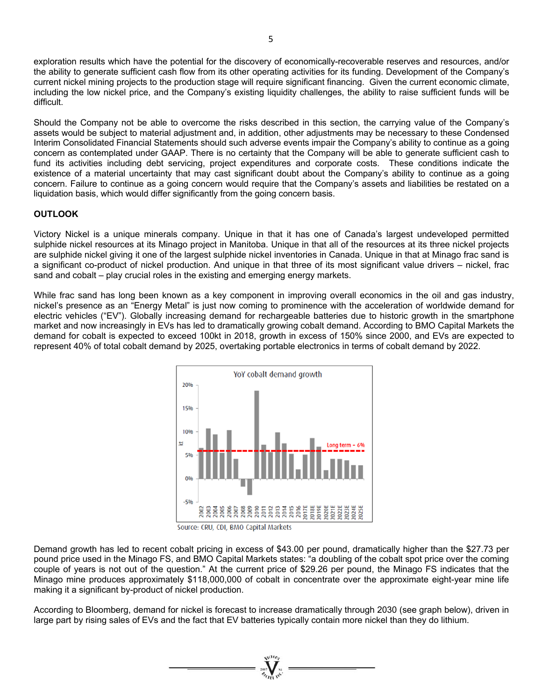exploration results which have the potential for the discovery of economically-recoverable reserves and resources, and/or the ability to generate sufficient cash flow from its other operating activities for its funding. Development of the Company's current nickel mining projects to the production stage will require significant financing. Given the current economic climate, including the low nickel price, and the Company's existing liquidity challenges, the ability to raise sufficient funds will be difficult.

Should the Company not be able to overcome the risks described in this section, the carrying value of the Company's assets would be subject to material adjustment and, in addition, other adjustments may be necessary to these Condensed Interim Consolidated Financial Statements should such adverse events impair the Company's ability to continue as a going concern as contemplated under GAAP. There is no certainty that the Company will be able to generate sufficient cash to fund its activities including debt servicing, project expenditures and corporate costs. These conditions indicate the existence of a material uncertainty that may cast significant doubt about the Company's ability to continue as a going concern. Failure to continue as a going concern would require that the Company's assets and liabilities be restated on a liquidation basis, which would differ significantly from the going concern basis.

#### **OUTLOOK**

Victory Nickel is a unique minerals company. Unique in that it has one of Canada's largest undeveloped permitted sulphide nickel resources at its Minago project in Manitoba. Unique in that all of the resources at its three nickel projects are sulphide nickel giving it one of the largest sulphide nickel inventories in Canada. Unique in that at Minago frac sand is a significant co-product of nickel production. And unique in that three of its most significant value drivers – nickel, frac sand and cobalt – play crucial roles in the existing and emerging energy markets.

While frac sand has long been known as a key component in improving overall economics in the oil and gas industry, nickel's presence as an "Energy Metal" is just now coming to prominence with the acceleration of worldwide demand for electric vehicles ("EV"). Globally increasing demand for rechargeable batteries due to historic growth in the smartphone market and now increasingly in EVs has led to dramatically growing cobalt demand. According to BMO Capital Markets the demand for cobalt is expected to exceed 100kt in 2018, growth in excess of 150% since 2000, and EVs are expected to represent 40% of total cobalt demand by 2025, overtaking portable electronics in terms of cobalt demand by 2022.



Source: CRU, CDI, BMO Capital Markets

Demand growth has led to recent cobalt pricing in excess of \$43.00 per pound, dramatically higher than the \$27.73 per pound price used in the Minago FS, and BMO Capital Markets states: "a doubling of the cobalt spot price over the coming couple of years is not out of the question." At the current price of \$29.26 per pound, the Minago FS indicates that the Minago mine produces approximately \$118,000,000 of cobalt in concentrate over the approximate eight-year mine life making it a significant by-product of nickel production.

According to Bloomberg, demand for nickel is forecast to increase dramatically through 2030 (see graph below), driven in large part by rising sales of EVs and the fact that EV batteries typically contain more nickel than they do lithium.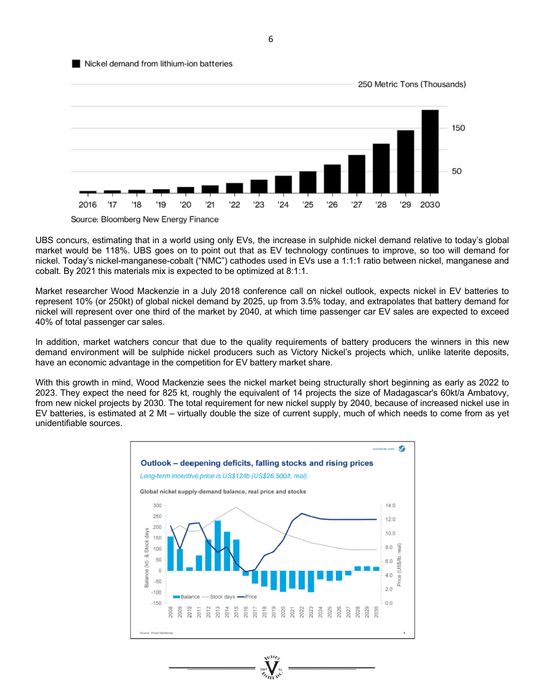#### Nickel demand from lithium-ion batteries



UBS concurs, estimating that in a world using only EVs, the increase in sulphide nickel demand relative to today's global market would be 118%. UBS goes on to point out that as EV technology continues to improve, so too will demand for nickel. Today's nickel-manganese-cobalt ("NMC") cathodes used in EVs use a 1:1:1 ratio between nickel, manganese and cobalt. By 2021 this materials mix is expected to be optimized at 8:1:1.

Market researcher Wood Mackenzie in a July 2018 conference call on nickel outlook, expects nickel in EV batteries to represent 10% (or 250kt) of global nickel demand by 2025, up from 3.5% today, and extrapolates that battery demand for nickel will represent over one third of the market by 2040, at which time passenger car EV sales are expected to exceed 40% of total passenger car sales.

In addition, market watchers concur that due to the quality requirements of battery producers the winners in this new demand environment will be sulphide nickel producers such as Victory Nickel's projects which, unlike laterite deposits, have an economic advantage in the competition for EV battery market share.

With this growth in mind, Wood Mackenzie sees the nickel market being structurally short beginning as early as 2022 to 2023. They expect the need for 825 kt, roughly the equivalent of 14 projects the size of Madagascar's 60kt/a Ambatovy, from new nickel projects by 2030. The total requirement for new nickel supply by 2040, because of increased nickel use in EV batteries, is estimated at 2 Mt – virtually double the size of current supply, much of which needs to come from as yet unidentifiable sources.



6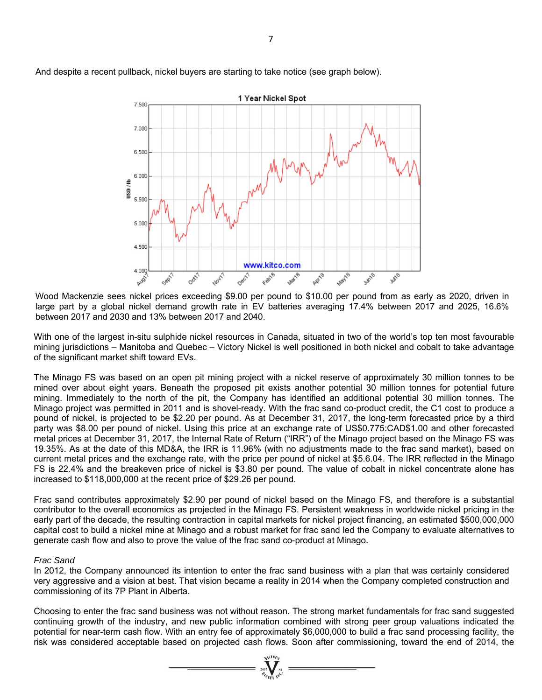

And despite a recent pullback, nickel buyers are starting to take notice (see graph below).

Wood Mackenzie sees nickel prices exceeding \$9.00 per pound to \$10.00 per pound from as early as 2020, driven in large part by a global nickel demand growth rate in EV batteries averaging 17.4% between 2017 and 2025, 16.6% between 2017 and 2030 and 13% between 2017 and 2040.

With one of the largest in-situ sulphide nickel resources in Canada, situated in two of the world's top ten most favourable mining jurisdictions – Manitoba and Quebec – Victory Nickel is well positioned in both nickel and cobalt to take advantage of the significant market shift toward EVs.

The Minago FS was based on an open pit mining project with a nickel reserve of approximately 30 million tonnes to be mined over about eight years. Beneath the proposed pit exists another potential 30 million tonnes for potential future mining. Immediately to the north of the pit, the Company has identified an additional potential 30 million tonnes. The Minago project was permitted in 2011 and is shovel-ready. With the frac sand co-product credit, the C1 cost to produce a pound of nickel, is projected to be \$2.20 per pound. As at December 31, 2017, the long-term forecasted price by a third party was \$8.00 per pound of nickel. Using this price at an exchange rate of US\$0.775:CAD\$1.00 and other forecasted metal prices at December 31, 2017, the Internal Rate of Return ("IRR") of the Minago project based on the Minago FS was 19.35%. As at the date of this MD&A, the IRR is 11.96% (with no adjustments made to the frac sand market), based on current metal prices and the exchange rate, with the price per pound of nickel at \$5.6.04. The IRR reflected in the Minago FS is 22.4% and the breakeven price of nickel is \$3.80 per pound. The value of cobalt in nickel concentrate alone has increased to \$118,000,000 at the recent price of \$29.26 per pound.

Frac sand contributes approximately \$2.90 per pound of nickel based on the Minago FS, and therefore is a substantial contributor to the overall economics as projected in the Minago FS. Persistent weakness in worldwide nickel pricing in the early part of the decade, the resulting contraction in capital markets for nickel project financing, an estimated \$500,000,000 capital cost to build a nickel mine at Minago and a robust market for frac sand led the Company to evaluate alternatives to generate cash flow and also to prove the value of the frac sand co-product at Minago.

#### *Frac Sand*

In 2012, the Company announced its intention to enter the frac sand business with a plan that was certainly considered very aggressive and a vision at best. That vision became a reality in 2014 when the Company completed construction and commissioning of its 7P Plant in Alberta.

Choosing to enter the frac sand business was not without reason. The strong market fundamentals for frac sand suggested continuing growth of the industry, and new public information combined with strong peer group valuations indicated the potential for near-term cash flow. With an entry fee of approximately \$6,000,000 to build a frac sand processing facility, the risk was considered acceptable based on projected cash flows. Soon after commissioning, toward the end of 2014, the

 $\sum_{\gamma_{\alpha}}$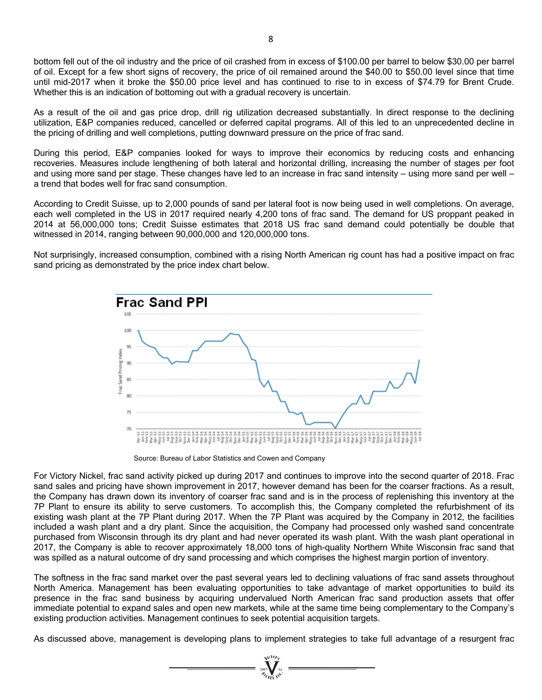bottom fell out of the oil industry and the price of oil crashed from in excess of \$100.00 per barrel to below \$30.00 per barrel of oil. Except for a few short signs of recovery, the price of oil remained around the \$40.00 to \$50.00 level since that time until mid-2017 when it broke the \$50.00 price level and has continued to rise to in excess of \$74.79 for Brent Crude. Whether this is an indication of bottoming out with a gradual recovery is uncertain.

As a result of the oil and gas price drop, drill rig utilization decreased substantially. In direct response to the declining utilization, E&P companies reduced, cancelled or deferred capital programs. All of this led to an unprecedented decline in the pricing of drilling and well completions, putting downward pressure on the price of frac sand.

During this period, E&P companies looked for ways to improve their economics by reducing costs and enhancing recoveries. Measures include lengthening of both lateral and horizontal drilling, increasing the number of stages per foot and using more sand per stage. These changes have led to an increase in frac sand intensity – using more sand per well – a trend that bodes well for frac sand consumption.

According to Credit Suisse, up to 2,000 pounds of sand per lateral foot is now being used in well completions. On average, each well completed in the US in 2017 required nearly 4,200 tons of frac sand. The demand for US proppant peaked in 2014 at 56,000,000 tons; Credit Suisse estimates that 2018 US frac sand demand could potentially be double that witnessed in 2014, ranging between 90,000,000 and 120,000,000 tons.

Not surprisingly, increased consumption, combined with a rising North American rig count has had a positive impact on frac sand pricing as demonstrated by the price index chart below.



Source: Bureau of Labor Statistics and Cowen and Company

For Victory Nickel, frac sand activity picked up during 2017 and continues to improve into the second quarter of 2018. Frac sand sales and pricing have shown improvement in 2017, however demand has been for the coarser fractions. As a result, the Company has drawn down its inventory of coarser frac sand and is in the process of replenishing this inventory at the 7P Plant to ensure its ability to serve customers. To accomplish this, the Company completed the refurbishment of its existing wash plant at the 7P Plant during 2017. When the 7P Plant was acquired by the Company in 2012, the facilities included a wash plant and a dry plant. Since the acquisition, the Company had processed only washed sand concentrate purchased from Wisconsin through its dry plant and had never operated its wash plant. With the wash plant operational in 2017, the Company is able to recover approximately 18,000 tons of high-quality Northern White Wisconsin frac sand that was spilled as a natural outcome of dry sand processing and which comprises the highest margin portion of inventory.

The softness in the frac sand market over the past several years led to declining valuations of frac sand assets throughout North America. Management has been evaluating opportunities to take advantage of market opportunities to build its presence in the frac sand business by acquiring undervalued North American frac sand production assets that offer immediate potential to expand sales and open new markets, while at the same time being complementary to the Company's existing production activities. Management continues to seek potential acquisition targets.

As discussed above, management is developing plans to implement strategies to take full advantage of a resurgent frac

 $\sum_{\gamma_{\ell_{\ell_{1}}}}$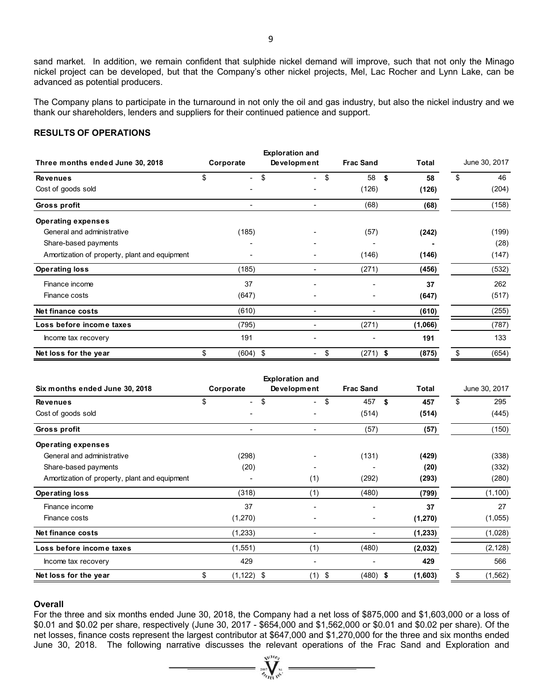sand market. In addition, we remain confident that sulphide nickel demand will improve, such that not only the Minago nickel project can be developed, but that the Company's other nickel projects, Mel, Lac Rocher and Lynn Lake, can be advanced as potential producers.

The Company plans to participate in the turnaround in not only the oil and gas industry, but also the nickel industry and we thank our shareholders, lenders and suppliers for their continued patience and support.

#### **RESULTS OF OPERATIONS**

|                                               |                                | <b>Exploration and</b>         |                  |              |               |  |
|-----------------------------------------------|--------------------------------|--------------------------------|------------------|--------------|---------------|--|
| Three months ended June 30, 2018              | Corporate                      | Development                    | <b>Frac Sand</b> | <b>Total</b> | June 30, 2017 |  |
| <b>Revenues</b>                               | \$<br>$\overline{\phantom{a}}$ | \$<br>$\overline{\phantom{0}}$ | \$<br>58         | \$<br>58     | \$<br>46      |  |
| Cost of goods sold                            |                                |                                | (126)            | (126)        | (204)         |  |
| Gross profit                                  |                                |                                | (68)             | (68)         | (158)         |  |
| <b>Operating expenses</b>                     |                                |                                |                  |              |               |  |
| General and administrative                    | (185)                          |                                | (57)             | (242)        | (199)         |  |
| Share-based payments                          |                                |                                |                  |              | (28)          |  |
| Amortization of property, plant and equipment |                                |                                | (146)            | (146)        | (147)         |  |
| <b>Operating loss</b>                         | (185)                          |                                | (271)            | (456)        | (532)         |  |
| Finance income                                | 37                             |                                |                  | 37           | 262           |  |
| Finance costs                                 | (647)                          |                                |                  | (647)        | (517)         |  |
| Net finance costs                             | (610)                          |                                |                  | (610)        | (255)         |  |
| Loss before income taxes                      | (795)                          |                                | (271)            | (1,066)      | (787)         |  |
| Income tax recovery                           | 191                            |                                |                  | 191          | 133           |  |
| Net loss for the year                         | (604) \$<br>\$                 |                                | $(271)$ \$<br>\$ | (875)        | \$<br>(654)   |  |

|                                               |                     | <b>Exploration and</b>               |                  |          |                |
|-----------------------------------------------|---------------------|--------------------------------------|------------------|----------|----------------|
| Six months ended June 30, 2018                | Corporate           | Development                          | <b>Frac Sand</b> | Total    | June 30, 2017  |
| <b>Revenues</b>                               | \$                  | \$<br>\$<br>$\overline{\phantom{0}}$ | 457<br>\$        | 457      | \$<br>295      |
| Cost of goods sold                            |                     |                                      | (514)            | (514)    | (445)          |
| Gross profit                                  |                     |                                      | (57)             | (57)     | (150)          |
| <b>Operating expenses</b>                     |                     |                                      |                  |          |                |
| General and administrative                    | (298)               |                                      | (131)            | (429)    | (338)          |
| Share-based payments                          | (20)                |                                      |                  | (20)     | (332)          |
| Amortization of property, plant and equipment |                     | (1)                                  | (292)            | (293)    | (280)          |
| <b>Operating loss</b>                         | (318)               | (1)                                  | (480)            | (799)    | (1, 100)       |
| Finance income                                | 37                  |                                      |                  | 37       | 27             |
| Finance costs                                 | (1,270)             |                                      |                  | (1, 270) | (1,055)        |
| Net finance costs                             | (1,233)             |                                      |                  | (1, 233) | (1,028)        |
| Loss before income taxes                      | (1, 551)            | (1)                                  | (480)            | (2,032)  | (2, 128)       |
| Income tax recovery                           | 429                 |                                      |                  | 429      | 566            |
| Net loss for the year                         | \$<br>$(1, 122)$ \$ | $(1)$ \$                             | $(480)$ \$       | (1,603)  | \$<br>(1, 562) |

#### **Overall**

For the three and six months ended June 30, 2018, the Company had a net loss of \$875,000 and \$1,603,000 or a loss of \$0.01 and \$0.02 per share, respectively (June 30, 2017 - \$654,000 and \$1,562,000 or \$0.01 and \$0.02 per share). Of the net losses, finance costs represent the largest contributor at \$647,000 and \$1,270,000 for the three and six months ended June 30, 2018. The following narrative discusses the relevant operations of the Frac Sand and Exploration and

> **WEION**  $\sum_{\gamma_{\rm crit}}$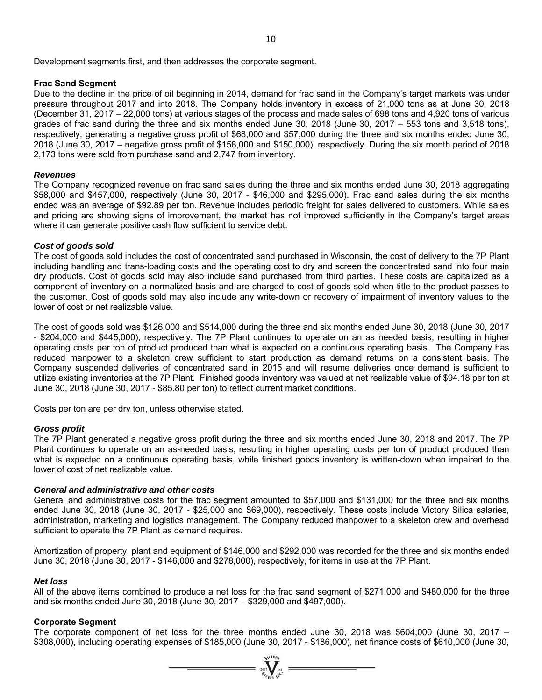Development segments first, and then addresses the corporate segment.

#### **Frac Sand Segment**

Due to the decline in the price of oil beginning in 2014, demand for frac sand in the Company's target markets was under pressure throughout 2017 and into 2018. The Company holds inventory in excess of 21,000 tons as at June 30, 2018 (December 31, 2017 – 22,000 tons) at various stages of the process and made sales of 698 tons and 4,920 tons of various grades of frac sand during the three and six months ended June 30, 2018 (June 30, 2017 – 553 tons and 3,518 tons), respectively, generating a negative gross profit of \$68,000 and \$57,000 during the three and six months ended June 30, 2018 (June 30, 2017 – negative gross profit of \$158,000 and \$150,000), respectively. During the six month period of 2018 2,173 tons were sold from purchase sand and 2,747 from inventory.

#### *Revenues*

The Company recognized revenue on frac sand sales during the three and six months ended June 30, 2018 aggregating \$58,000 and \$457,000, respectively (June 30, 2017 - \$46,000 and \$295,000). Frac sand sales during the six months ended was an average of \$92.89 per ton. Revenue includes periodic freight for sales delivered to customers. While sales and pricing are showing signs of improvement, the market has not improved sufficiently in the Company's target areas where it can generate positive cash flow sufficient to service debt.

#### *Cost of goods sold*

The cost of goods sold includes the cost of concentrated sand purchased in Wisconsin, the cost of delivery to the 7P Plant including handling and trans-loading costs and the operating cost to dry and screen the concentrated sand into four main dry products. Cost of goods sold may also include sand purchased from third parties. These costs are capitalized as a component of inventory on a normalized basis and are charged to cost of goods sold when title to the product passes to the customer. Cost of goods sold may also include any write-down or recovery of impairment of inventory values to the lower of cost or net realizable value.

The cost of goods sold was \$126,000 and \$514,000 during the three and six months ended June 30, 2018 (June 30, 2017 - \$204,000 and \$445,000), respectively. The 7P Plant continues to operate on an as needed basis, resulting in higher operating costs per ton of product produced than what is expected on a continuous operating basis. The Company has reduced manpower to a skeleton crew sufficient to start production as demand returns on a consistent basis. The Company suspended deliveries of concentrated sand in 2015 and will resume deliveries once demand is sufficient to utilize existing inventories at the 7P Plant. Finished goods inventory was valued at net realizable value of \$94.18 per ton at June 30, 2018 (June 30, 2017 - \$85.80 per ton) to reflect current market conditions.

Costs per ton are per dry ton, unless otherwise stated.

#### *Gross profit*

The 7P Plant generated a negative gross profit during the three and six months ended June 30, 2018 and 2017. The 7P Plant continues to operate on an as-needed basis, resulting in higher operating costs per ton of product produced than what is expected on a continuous operating basis, while finished goods inventory is written-down when impaired to the lower of cost of net realizable value.

#### *General and administrative and other costs*

General and administrative costs for the frac segment amounted to \$57,000 and \$131,000 for the three and six months ended June 30, 2018 (June 30, 2017 - \$25,000 and \$69,000), respectively. These costs include Victory Silica salaries, administration, marketing and logistics management. The Company reduced manpower to a skeleton crew and overhead sufficient to operate the 7P Plant as demand requires.

Amortization of property, plant and equipment of \$146,000 and \$292,000 was recorded for the three and six months ended June 30, 2018 (June 30, 2017 - \$146,000 and \$278,000), respectively, for items in use at the 7P Plant.

#### *Net loss*

All of the above items combined to produce a net loss for the frac sand segment of \$271,000 and \$480,000 for the three and six months ended June 30, 2018 (June 30, 2017 – \$329,000 and \$497,000).

#### **Corporate Segment**

The corporate component of net loss for the three months ended June 30, 2018 was \$604,000 (June 30, 2017 – \$308,000), including operating expenses of \$185,000 (June 30, 2017 - \$186,000), net finance costs of \$610,000 (June 30,

 $=\prod_{\alpha}^{N}$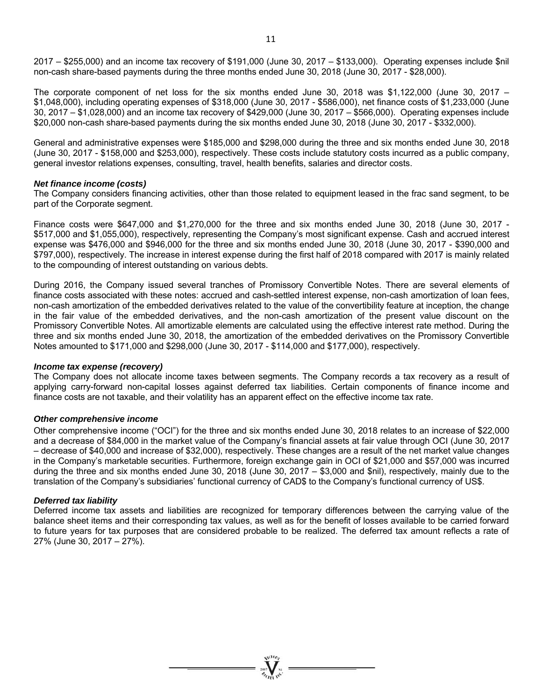2017 – \$255,000) and an income tax recovery of \$191,000 (June 30, 2017 – \$133,000). Operating expenses include \$nil non-cash share-based payments during the three months ended June 30, 2018 (June 30, 2017 - \$28,000).

The corporate component of net loss for the six months ended June 30, 2018 was \$1,122,000 (June 30, 2017 – \$1,048,000), including operating expenses of \$318,000 (June 30, 2017 - \$586,000), net finance costs of \$1,233,000 (June 30, 2017 – \$1,028,000) and an income tax recovery of \$429,000 (June 30, 2017 – \$566,000). Operating expenses include \$20,000 non-cash share-based payments during the six months ended June 30, 2018 (June 30, 2017 - \$332,000).

General and administrative expenses were \$185,000 and \$298,000 during the three and six months ended June 30, 2018 (June 30, 2017 - \$158,000 and \$253,000), respectively. These costs include statutory costs incurred as a public company, general investor relations expenses, consulting, travel, health benefits, salaries and director costs.

#### *Net finance income (costs)*

The Company considers financing activities, other than those related to equipment leased in the frac sand segment, to be part of the Corporate segment.

Finance costs were \$647,000 and \$1,270,000 for the three and six months ended June 30, 2018 (June 30, 2017 - \$517,000 and \$1,055,000), respectively, representing the Company's most significant expense. Cash and accrued interest expense was \$476,000 and \$946,000 for the three and six months ended June 30, 2018 (June 30, 2017 - \$390,000 and \$797,000), respectively. The increase in interest expense during the first half of 2018 compared with 2017 is mainly related to the compounding of interest outstanding on various debts.

During 2016, the Company issued several tranches of Promissory Convertible Notes. There are several elements of finance costs associated with these notes: accrued and cash-settled interest expense, non-cash amortization of loan fees, non-cash amortization of the embedded derivatives related to the value of the convertibility feature at inception, the change in the fair value of the embedded derivatives, and the non-cash amortization of the present value discount on the Promissory Convertible Notes. All amortizable elements are calculated using the effective interest rate method. During the three and six months ended June 30, 2018, the amortization of the embedded derivatives on the Promissory Convertible Notes amounted to \$171,000 and \$298,000 (June 30, 2017 - \$114,000 and \$177,000), respectively.

#### *Income tax expense (recovery)*

The Company does not allocate income taxes between segments. The Company records a tax recovery as a result of applying carry-forward non-capital losses against deferred tax liabilities. Certain components of finance income and finance costs are not taxable, and their volatility has an apparent effect on the effective income tax rate.

#### *Other comprehensive income*

Other comprehensive income ("OCI") for the three and six months ended June 30, 2018 relates to an increase of \$22,000 and a decrease of \$84,000 in the market value of the Company's financial assets at fair value through OCI (June 30, 2017 – decrease of \$40,000 and increase of \$32,000), respectively. These changes are a result of the net market value changes in the Company's marketable securities. Furthermore, foreign exchange gain in OCI of \$21,000 and \$57,000 was incurred during the three and six months ended June 30, 2018 (June 30, 2017 – \$3,000 and \$nil), respectively, mainly due to the translation of the Company's subsidiaries' functional currency of CAD\$ to the Company's functional currency of US\$.

#### *Deferred tax liability*

Deferred income tax assets and liabilities are recognized for temporary differences between the carrying value of the balance sheet items and their corresponding tax values, as well as for the benefit of losses available to be carried forward to future years for tax purposes that are considered probable to be realized. The deferred tax amount reflects a rate of 27% (June 30, 2017 – 27%).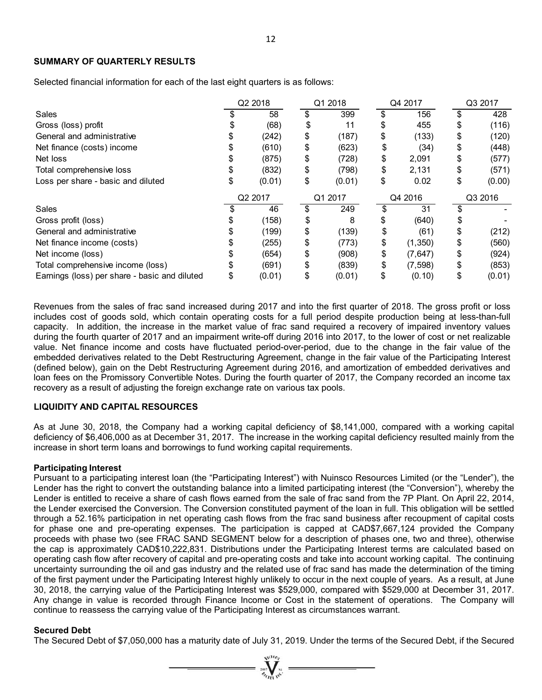#### **SUMMARY OF QUARTERLY RESULTS**

Selected financial information for each of the last eight quarters is as follows:

|                                               | Q2 2018 |        | Q1 2018 |        |         | Q4 2017  | Q3 2017 |        |  |
|-----------------------------------------------|---------|--------|---------|--------|---------|----------|---------|--------|--|
| Sales                                         |         | 58     |         | 399    |         | 156      |         | 428    |  |
| Gross (loss) profit                           |         | (68)   | \$      | 11     |         | 455      | \$      | (116)  |  |
| General and administrative                    |         | (242)  | \$      | (187)  | \$      | (133)    | \$      | (120)  |  |
| Net finance (costs) income                    |         | (610)  | \$      | (623)  | \$      | (34)     | \$      | (448)  |  |
| Net loss                                      |         | (875)  | \$      | (728)  | \$      | 2,091    | \$      | (577)  |  |
| Total comprehensive loss                      |         | (832)  | \$      | (798)  | \$      | 2,131    | \$      | (571)  |  |
| Loss per share - basic and diluted            |         | (0.01) | \$      | (0.01) | \$      | 0.02     | \$      | (0.00) |  |
|                                               | Q2 2017 |        | Q1 2017 |        | Q4 2016 |          | Q3 2016 |        |  |
| Sales                                         |         | 46     |         | 249    |         | 31       |         |        |  |
| Gross profit (loss)                           |         | (158)  | \$      | 8      | S       | (640)    | \$      |        |  |
| General and administrative                    |         | (199)  | \$      | (139)  | \$      | (61)     | \$      | (212)  |  |
| Net finance income (costs)                    |         | (255)  | \$      | (773)  | \$      | (1,350)  | \$      | (560)  |  |
| Net income (loss)                             |         | (654)  | \$      | (908)  | \$      | (7,647)  | \$      | (924)  |  |
| Total comprehensive income (loss)             |         | (691)  | \$      | (839)  | \$      | (7, 598) | \$      | (853)  |  |
| Earnings (loss) per share - basic and diluted |         | (0.01) | \$      | (0.01) | \$      | (0.10)   | \$      | (0.01) |  |

Revenues from the sales of frac sand increased during 2017 and into the first quarter of 2018. The gross profit or loss includes cost of goods sold, which contain operating costs for a full period despite production being at less-than-full capacity. In addition, the increase in the market value of frac sand required a recovery of impaired inventory values during the fourth quarter of 2017 and an impairment write-off during 2016 into 2017, to the lower of cost or net realizable value. Net finance income and costs have fluctuated period-over-period, due to the change in the fair value of the embedded derivatives related to the Debt Restructuring Agreement, change in the fair value of the Participating Interest (defined below), gain on the Debt Restructuring Agreement during 2016, and amortization of embedded derivatives and loan fees on the Promissory Convertible Notes. During the fourth quarter of 2017, the Company recorded an income tax recovery as a result of adjusting the foreign exchange rate on various tax pools.

#### **LIQUIDITY AND CAPITAL RESOURCES**

As at June 30, 2018, the Company had a working capital deficiency of \$8,141,000, compared with a working capital deficiency of \$6,406,000 as at December 31, 2017. The increase in the working capital deficiency resulted mainly from the increase in short term loans and borrowings to fund working capital requirements.

#### **Participating Interest**

Pursuant to a participating interest loan (the "Participating Interest") with Nuinsco Resources Limited (or the "Lender"), the Lender has the right to convert the outstanding balance into a limited participating interest (the "Conversion"), whereby the Lender is entitled to receive a share of cash flows earned from the sale of frac sand from the 7P Plant. On April 22, 2014, the Lender exercised the Conversion. The Conversion constituted payment of the loan in full. This obligation will be settled through a 52.16% participation in net operating cash flows from the frac sand business after recoupment of capital costs for phase one and pre-operating expenses. The participation is capped at CAD\$7,667,124 provided the Company proceeds with phase two (see FRAC SAND SEGMENT below for a description of phases one, two and three), otherwise the cap is approximately CAD\$10,222,831. Distributions under the Participating Interest terms are calculated based on operating cash flow after recovery of capital and pre-operating costs and take into account working capital. The continuing uncertainty surrounding the oil and gas industry and the related use of frac sand has made the determination of the timing of the first payment under the Participating Interest highly unlikely to occur in the next couple of years. As a result, at June 30, 2018, the carrying value of the Participating Interest was \$529,000, compared with \$529,000 at December 31, 2017. Any change in value is recorded through Finance Income or Cost in the statement of operations. The Company will continue to reassess the carrying value of the Participating Interest as circumstances warrant.

#### **Secured Debt**

The Secured Debt of \$7,050,000 has a maturity date of July 31, 2019. Under the terms of the Secured Debt, if the Secured

 $=\prod_{\alpha}^{N^{(1)}(s)}$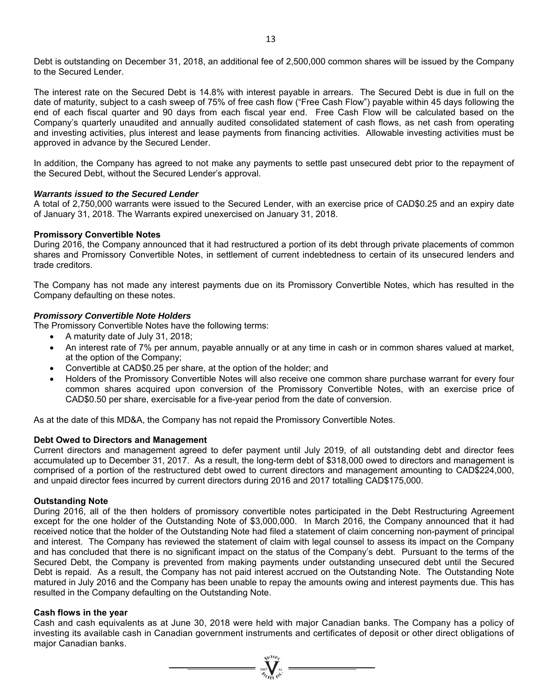Debt is outstanding on December 31, 2018, an additional fee of 2,500,000 common shares will be issued by the Company to the Secured Lender.

The interest rate on the Secured Debt is 14.8% with interest payable in arrears. The Secured Debt is due in full on the date of maturity, subject to a cash sweep of 75% of free cash flow ("Free Cash Flow") payable within 45 days following the end of each fiscal quarter and 90 days from each fiscal year end. Free Cash Flow will be calculated based on the Company's quarterly unaudited and annually audited consolidated statement of cash flows, as net cash from operating and investing activities, plus interest and lease payments from financing activities. Allowable investing activities must be approved in advance by the Secured Lender.

In addition, the Company has agreed to not make any payments to settle past unsecured debt prior to the repayment of the Secured Debt, without the Secured Lender's approval.

#### *Warrants issued to the Secured Lender*

A total of 2,750,000 warrants were issued to the Secured Lender, with an exercise price of CAD\$0.25 and an expiry date of January 31, 2018. The Warrants expired unexercised on January 31, 2018.

#### **Promissory Convertible Notes**

During 2016, the Company announced that it had restructured a portion of its debt through private placements of common shares and Promissory Convertible Notes, in settlement of current indebtedness to certain of its unsecured lenders and trade creditors.

The Company has not made any interest payments due on its Promissory Convertible Notes, which has resulted in the Company defaulting on these notes.

#### *Promissory Convertible Note Holders*

The Promissory Convertible Notes have the following terms:

- A maturity date of July 31, 2018;
- An interest rate of 7% per annum, payable annually or at any time in cash or in common shares valued at market, at the option of the Company;
- Convertible at CAD\$0.25 per share, at the option of the holder; and
- Holders of the Promissory Convertible Notes will also receive one common share purchase warrant for every four common shares acquired upon conversion of the Promissory Convertible Notes, with an exercise price of CAD\$0.50 per share, exercisable for a five-year period from the date of conversion.

As at the date of this MD&A, the Company has not repaid the Promissory Convertible Notes.

#### **Debt Owed to Directors and Management**

Current directors and management agreed to defer payment until July 2019, of all outstanding debt and director fees accumulated up to December 31, 2017. As a result, the long-term debt of \$318,000 owed to directors and management is comprised of a portion of the restructured debt owed to current directors and management amounting to CAD\$224,000, and unpaid director fees incurred by current directors during 2016 and 2017 totalling CAD\$175,000.

#### **Outstanding Note**

During 2016, all of the then holders of promissory convertible notes participated in the Debt Restructuring Agreement except for the one holder of the Outstanding Note of \$3,000,000. In March 2016, the Company announced that it had received notice that the holder of the Outstanding Note had filed a statement of claim concerning non-payment of principal and interest. The Company has reviewed the statement of claim with legal counsel to assess its impact on the Company and has concluded that there is no significant impact on the status of the Company's debt. Pursuant to the terms of the Secured Debt, the Company is prevented from making payments under outstanding unsecured debt until the Secured Debt is repaid. As a result, the Company has not paid interest accrued on the Outstanding Note. The Outstanding Note matured in July 2016 and the Company has been unable to repay the amounts owing and interest payments due. This has resulted in the Company defaulting on the Outstanding Note.

#### **Cash flows in the year**

Cash and cash equivalents as at June 30, 2018 were held with major Canadian banks. The Company has a policy of investing its available cash in Canadian government instruments and certificates of deposit or other direct obligations of major Canadian banks.

 $=\prod_{\substack{\alpha \in \mathcal{N}_{\text{rel}}} \text{all } \alpha}}^{\text{NLO}}$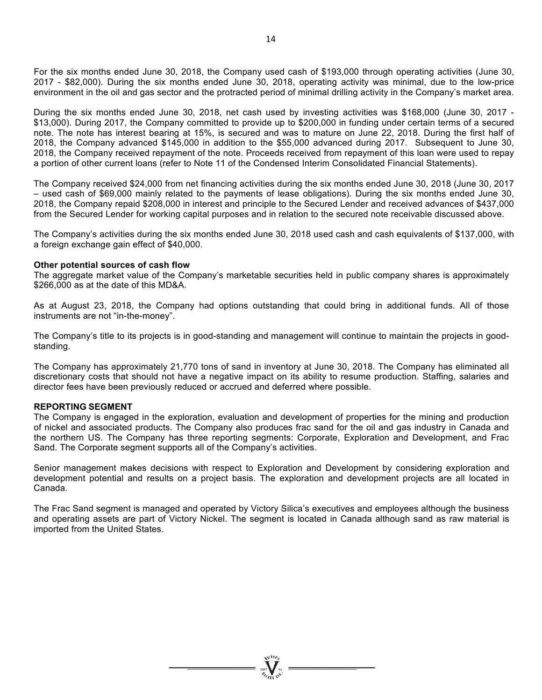For the six months ended June 30, 2018, the Company used cash of \$193,000 through operating activities (June 30, 2017 - \$82,000). During the six months ended June 30, 2018, operating activity was minimal, due to the low-price environment in the oil and gas sector and the protracted period of minimal drilling activity in the Company's market area.

During the six months ended June 30, 2018, net cash used by investing activities was \$168,000 (June 30, 2017 - \$13,000). During 2017, the Company committed to provide up to \$200,000 in funding under certain terms of a secured note. The note has interest bearing at 15%, is secured and was to mature on June 22, 2018. During the first half of 2018, the Company advanced \$145,000 in addition to the \$55,000 advanced during 2017. Subsequent to June 30, 2018, the Company received repayment of the note. Proceeds received from repayment of this loan were used to repay a portion of other current loans (refer to Note 11 of the Condensed Interim Consolidated Financial Statements).

The Company received \$24,000 from net financing activities during the six months ended June 30, 2018 (June 30, 2017 – used cash of \$69,000 mainly related to the payments of lease obligations). During the six months ended June 30, 2018, the Company repaid \$208,000 in interest and principle to the Secured Lender and received advances of \$437,000 from the Secured Lender for working capital purposes and in relation to the secured note receivable discussed above.

The Company's activities during the six months ended June 30, 2018 used cash and cash equivalents of \$137,000, with a foreign exchange gain effect of \$40,000.

#### **Other potential sources of cash flow**

The aggregate market value of the Company's marketable securities held in public company shares is approximately \$266,000 as at the date of this MD&A.

As at August 23, 2018, the Company had options outstanding that could bring in additional funds. All of those instruments are not "in-the-money".

The Company's title to its projects is in good-standing and management will continue to maintain the projects in goodstanding.

The Company has approximately 21,770 tons of sand in inventory at June 30, 2018. The Company has eliminated all discretionary costs that should not have a negative impact on its ability to resume production. Staffing, salaries and director fees have been previously reduced or accrued and deferred where possible.

#### **REPORTING SEGMENT**

The Company is engaged in the exploration, evaluation and development of properties for the mining and production of nickel and associated products. The Company also produces frac sand for the oil and gas industry in Canada and the northern US. The Company has three reporting segments: Corporate, Exploration and Development, and Frac Sand. The Corporate segment supports all of the Company's activities.

Senior management makes decisions with respect to Exploration and Development by considering exploration and development potential and results on a project basis. The exploration and development projects are all located in Canada.

The Frac Sand segment is managed and operated by Victory Silica's executives and employees although the business and operating assets are part of Victory Nickel. The segment is located in Canada although sand as raw material is imported from the United States.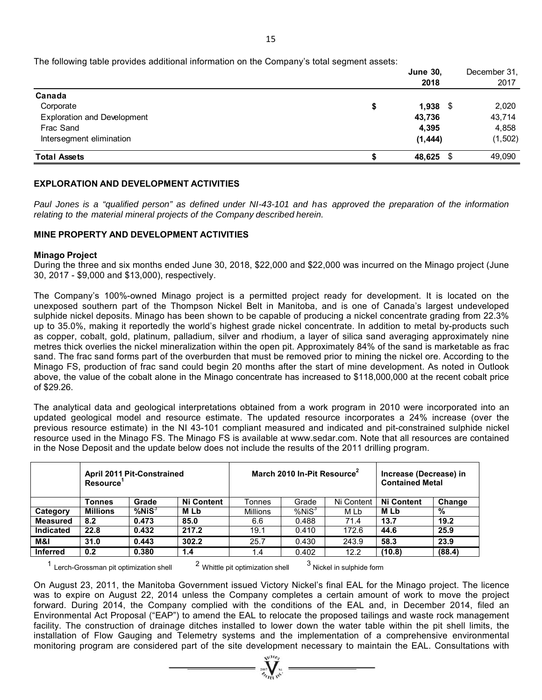The following table provides additional information on the Company's total segment assets:

|                                    | <b>June 30,</b><br>2018 | December 31,<br>2017 |
|------------------------------------|-------------------------|----------------------|
| Canada                             |                         |                      |
| Corporate                          | \$<br>$1,938$ \$        | 2,020                |
| <b>Exploration and Development</b> | 43,736                  | 43,714               |
| Frac Sand                          | 4,395                   | 4,858                |
| Intersegment elimination           | (1, 444)                | (1,502)              |
| <b>Total Assets</b>                | 48,625                  | 49,090               |

#### **EXPLORATION AND DEVELOPMENT ACTIVITIES**

Paul Jones is a "qualified person" as defined under NI-43-101 and has approved the preparation of the information *relating to the material mineral projects of the Company described herein.* 

#### **MINE PROPERTY AND DEVELOPMENT ACTIVITIES**

#### **Minago Project**

During the three and six months ended June 30, 2018, \$22,000 and \$22,000 was incurred on the Minago project (June 30, 2017 - \$9,000 and \$13,000), respectively.

The Company's 100%-owned Minago project is a permitted project ready for development. It is located on the unexposed southern part of the Thompson Nickel Belt in Manitoba, and is one of Canada's largest undeveloped sulphide nickel deposits. Minago has been shown to be capable of producing a nickel concentrate grading from 22.3% up to 35.0%, making it reportedly the world's highest grade nickel concentrate. In addition to metal by-products such as copper, cobalt, gold, platinum, palladium, silver and rhodium, a layer of silica sand averaging approximately nine metres thick overlies the nickel mineralization within the open pit. Approximately 84% of the sand is marketable as frac sand. The frac sand forms part of the overburden that must be removed prior to mining the nickel ore. According to the Minago FS, production of frac sand could begin 20 months after the start of mine development. As noted in Outlook above, the value of the cobalt alone in the Minago concentrate has increased to \$118,000,000 at the recent cobalt price of \$29.26.

The analytical data and geological interpretations obtained from a work program in 2010 were incorporated into an updated geological model and resource estimate. The updated resource incorporates a 24% increase (over the previous resource estimate) in the NI 43-101 compliant measured and indicated and pit-constrained sulphide nickel resource used in the Minago FS. The Minago FS is available at www.sedar.com. Note that all resources are contained in the Nose Deposit and the update below does not include the results of the 2011 drilling program.

|                  | Resource        | April 2011 Pit-Constrained |                   |                 | March 2010 In-Pit Resource <sup>2</sup> | Increase (Decrease) in<br><b>Contained Metal</b> |                   |        |  |
|------------------|-----------------|----------------------------|-------------------|-----------------|-----------------------------------------|--------------------------------------------------|-------------------|--------|--|
|                  | Tonnes          | Grade                      | <b>Ni Content</b> | Tonnes          | Grade                                   | Ni Content                                       | <b>Ni Content</b> | Change |  |
| Category         | <b>Millions</b> | %NiS <sup>3</sup>          | <b>MLb</b>        | <b>Millions</b> | %NiS <sup>3</sup>                       | M Lb                                             | <b>MLb</b>        | %      |  |
| <b>Measured</b>  | 8.2             | 0.473                      | 85.0              | 6.6             | 0.488                                   | 71.4                                             | 13.7              | 19.2   |  |
| <b>Indicated</b> | 22.8            | 0.432                      | 217.2             | 19.1            | 0.410                                   | 172.6                                            | 44.6              | 25.9   |  |
| M&I              | 31.0            | 0.443                      | 302.2             | 25.7            | 0.430                                   | 243.9                                            | 58.3              | 23.9   |  |
| <b>Inferred</b>  | 0.2             | 0.380                      | 1.4               | 1.4             | 0.402                                   | 12.2                                             | (10.8)            | (88.4) |  |

 $1$  Lerch-Grossman pit optimization shell  $2$  Whittle pit optimization shell  $3$  Nickel in sulphide form

On August 23, 2011, the Manitoba Government issued Victory Nickel's final EAL for the Minago project. The licence was to expire on August 22, 2014 unless the Company completes a certain amount of work to move the project forward. During 2014, the Company complied with the conditions of the EAL and, in December 2014, filed an Environmental Act Proposal ("EAP") to amend the EAL to relocate the proposed tailings and waste rock management facility. The construction of drainage ditches installed to lower down the water table within the pit shell limits, the installation of Flow Gauging and Telemetry systems and the implementation of a comprehensive environmental monitoring program are considered part of the site development necessary to maintain the EAL. Consultations with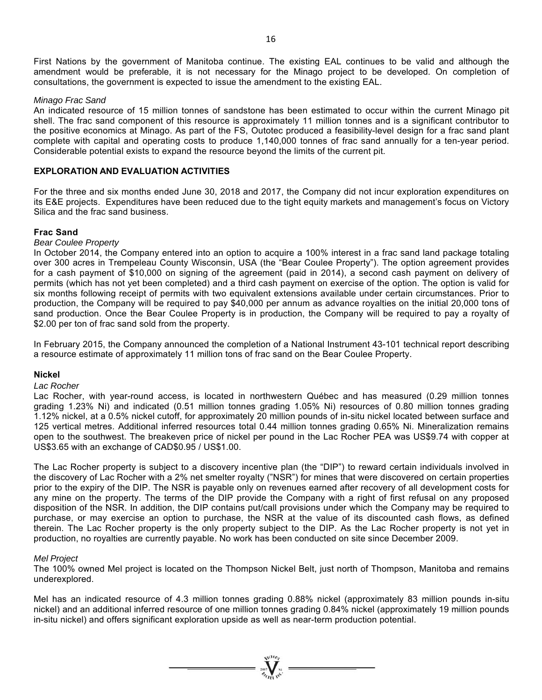First Nations by the government of Manitoba continue. The existing EAL continues to be valid and although the amendment would be preferable, it is not necessary for the Minago project to be developed. On completion of consultations, the government is expected to issue the amendment to the existing EAL.

#### *Minago Frac Sand*

An indicated resource of 15 million tonnes of sandstone has been estimated to occur within the current Minago pit shell. The frac sand component of this resource is approximately 11 million tonnes and is a significant contributor to the positive economics at Minago. As part of the FS, Outotec produced a feasibility-level design for a frac sand plant complete with capital and operating costs to produce 1,140,000 tonnes of frac sand annually for a ten-year period. Considerable potential exists to expand the resource beyond the limits of the current pit.

#### **EXPLORATION AND EVALUATION ACTIVITIES**

For the three and six months ended June 30, 2018 and 2017, the Company did not incur exploration expenditures on its E&E projects. Expenditures have been reduced due to the tight equity markets and management's focus on Victory Silica and the frac sand business.

#### **Frac Sand**

#### *Bear Coulee Property*

In October 2014, the Company entered into an option to acquire a 100% interest in a frac sand land package totaling over 300 acres in Trempeleau County Wisconsin, USA (the "Bear Coulee Property"). The option agreement provides for a cash payment of \$10,000 on signing of the agreement (paid in 2014), a second cash payment on delivery of permits (which has not yet been completed) and a third cash payment on exercise of the option. The option is valid for six months following receipt of permits with two equivalent extensions available under certain circumstances. Prior to production, the Company will be required to pay \$40,000 per annum as advance royalties on the initial 20,000 tons of sand production. Once the Bear Coulee Property is in production, the Company will be required to pay a royalty of \$2.00 per ton of frac sand sold from the property.

In February 2015, the Company announced the completion of a National Instrument 43-101 technical report describing a resource estimate of approximately 11 million tons of frac sand on the Bear Coulee Property.

#### **Nickel**

#### *Lac Rocher*

Lac Rocher, with year-round access, is located in northwestern Québec and has measured (0.29 million tonnes grading 1.23% Ni) and indicated (0.51 million tonnes grading 1.05% Ni) resources of 0.80 million tonnes grading 1.12% nickel, at a 0.5% nickel cutoff, for approximately 20 million pounds of in-situ nickel located between surface and 125 vertical metres. Additional inferred resources total 0.44 million tonnes grading 0.65% Ni. Mineralization remains open to the southwest. The breakeven price of nickel per pound in the Lac Rocher PEA was US\$9.74 with copper at US\$3.65 with an exchange of CAD\$0.95 / US\$1.00.

The Lac Rocher property is subject to a discovery incentive plan (the "DIP") to reward certain individuals involved in the discovery of Lac Rocher with a 2% net smelter royalty ("NSR") for mines that were discovered on certain properties prior to the expiry of the DIP. The NSR is payable only on revenues earned after recovery of all development costs for any mine on the property. The terms of the DIP provide the Company with a right of first refusal on any proposed disposition of the NSR. In addition, the DIP contains put/call provisions under which the Company may be required to purchase, or may exercise an option to purchase, the NSR at the value of its discounted cash flows, as defined therein. The Lac Rocher property is the only property subject to the DIP. As the Lac Rocher property is not yet in production, no royalties are currently payable. No work has been conducted on site since December 2009.

#### *Mel Project*

The 100% owned Mel project is located on the Thompson Nickel Belt, just north of Thompson, Manitoba and remains underexplored.

Mel has an indicated resource of 4.3 million tonnes grading 0.88% nickel (approximately 83 million pounds in-situ nickel) and an additional inferred resource of one million tonnes grading 0.84% nickel (approximately 19 million pounds in-situ nickel) and offers significant exploration upside as well as near-term production potential.

 $=\prod_{\alpha}^{\infty}$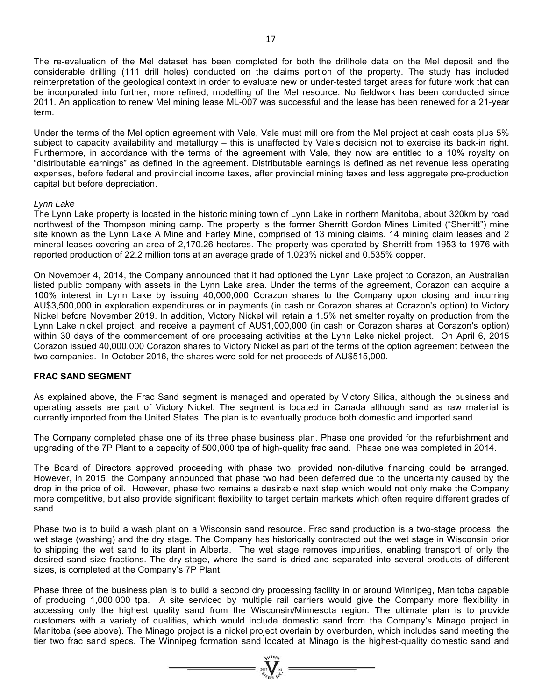The re-evaluation of the Mel dataset has been completed for both the drillhole data on the Mel deposit and the considerable drilling (111 drill holes) conducted on the claims portion of the property. The study has included reinterpretation of the geological context in order to evaluate new or under-tested target areas for future work that can be incorporated into further, more refined, modelling of the Mel resource. No fieldwork has been conducted since 2011. An application to renew Mel mining lease ML-007 was successful and the lease has been renewed for a 21-year term.

Under the terms of the Mel option agreement with Vale, Vale must mill ore from the Mel project at cash costs plus 5% subject to capacity availability and metallurgy – this is unaffected by Vale's decision not to exercise its back-in right. Furthermore, in accordance with the terms of the agreement with Vale, they now are entitled to a 10% royalty on "distributable earnings" as defined in the agreement. Distributable earnings is defined as net revenue less operating expenses, before federal and provincial income taxes, after provincial mining taxes and less aggregate pre-production capital but before depreciation.

#### *Lynn Lake*

The Lynn Lake property is located in the historic mining town of Lynn Lake in northern Manitoba, about 320km by road northwest of the Thompson mining camp. The property is the former Sherritt Gordon Mines Limited ("Sherritt") mine site known as the Lynn Lake A Mine and Farley Mine, comprised of 13 mining claims, 14 mining claim leases and 2 mineral leases covering an area of 2,170.26 hectares. The property was operated by Sherritt from 1953 to 1976 with reported production of 22.2 million tons at an average grade of 1.023% nickel and 0.535% copper.

On November 4, 2014, the Company announced that it had optioned the Lynn Lake project to Corazon, an Australian listed public company with assets in the Lynn Lake area. Under the terms of the agreement, Corazon can acquire a 100% interest in Lynn Lake by issuing 40,000,000 Corazon shares to the Company upon closing and incurring AU\$3,500,000 in exploration expenditures or in payments (in cash or Corazon shares at Corazon's option) to Victory Nickel before November 2019. In addition, Victory Nickel will retain a 1.5% net smelter royalty on production from the Lynn Lake nickel project, and receive a payment of AU\$1,000,000 (in cash or Corazon shares at Corazon's option) within 30 days of the commencement of ore processing activities at the Lynn Lake nickel project. On April 6, 2015 Corazon issued 40,000,000 Corazon shares to Victory Nickel as part of the terms of the option agreement between the two companies. In October 2016, the shares were sold for net proceeds of AU\$515,000.

#### **FRAC SAND SEGMENT**

As explained above, the Frac Sand segment is managed and operated by Victory Silica, although the business and operating assets are part of Victory Nickel. The segment is located in Canada although sand as raw material is currently imported from the United States. The plan is to eventually produce both domestic and imported sand.

The Company completed phase one of its three phase business plan. Phase one provided for the refurbishment and upgrading of the 7P Plant to a capacity of 500,000 tpa of high-quality frac sand. Phase one was completed in 2014.

The Board of Directors approved proceeding with phase two, provided non-dilutive financing could be arranged. However, in 2015, the Company announced that phase two had been deferred due to the uncertainty caused by the drop in the price of oil. However, phase two remains a desirable next step which would not only make the Company more competitive, but also provide significant flexibility to target certain markets which often require different grades of sand.

Phase two is to build a wash plant on a Wisconsin sand resource. Frac sand production is a two-stage process: the wet stage (washing) and the dry stage. The Company has historically contracted out the wet stage in Wisconsin prior to shipping the wet sand to its plant in Alberta. The wet stage removes impurities, enabling transport of only the desired sand size fractions. The dry stage, where the sand is dried and separated into several products of different sizes, is completed at the Company's 7P Plant.

Phase three of the business plan is to build a second dry processing facility in or around Winnipeg, Manitoba capable of producing 1,000,000 tpa. A site serviced by multiple rail carriers would give the Company more flexibility in accessing only the highest quality sand from the Wisconsin/Minnesota region. The ultimate plan is to provide customers with a variety of qualities, which would include domestic sand from the Company's Minago project in Manitoba (see above). The Minago project is a nickel project overlain by overburden, which includes sand meeting the tier two frac sand specs. The Winnipeg formation sand located at Minago is the highest-quality domestic sand and

 $\sum_{n=1}^{\infty} \sum_{n=1}^{\infty} \frac{1}{n^2}$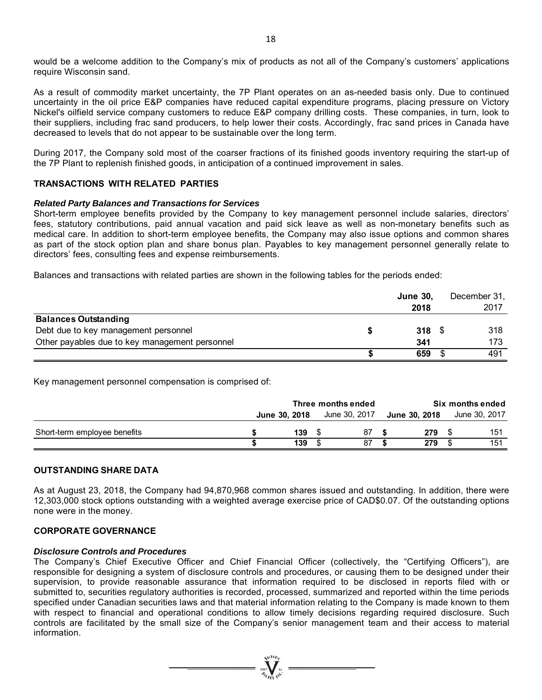would be a welcome addition to the Company's mix of products as not all of the Company's customers' applications require Wisconsin sand.

As a result of commodity market uncertainty, the 7P Plant operates on an as-needed basis only. Due to continued uncertainty in the oil price E&P companies have reduced capital expenditure programs, placing pressure on Victory Nickel's oilfield service company customers to reduce E&P company drilling costs. These companies, in turn, look to their suppliers, including frac sand producers, to help lower their costs. Accordingly, frac sand prices in Canada have decreased to levels that do not appear to be sustainable over the long term.

During 2017, the Company sold most of the coarser fractions of its finished goods inventory requiring the start-up of the 7P Plant to replenish finished goods, in anticipation of a continued improvement in sales.

#### **TRANSACTIONS WITH RELATED PARTIES**

#### *Related Party Balances and Transactions for Services*

Short-term employee benefits provided by the Company to key management personnel include salaries, directors' fees, statutory contributions, paid annual vacation and paid sick leave as well as non-monetary benefits such as medical care. In addition to short-term employee benefits, the Company may also issue options and common shares as part of the stock option plan and share bonus plan. Payables to key management personnel generally relate to directors' fees, consulting fees and expense reimbursements.

Balances and transactions with related parties are shown in the following tables for the periods ended:

|                                                | <b>June 30,</b><br>2018 | December 31,<br>2017 |
|------------------------------------------------|-------------------------|----------------------|
| <b>Balances Outstanding</b>                    |                         |                      |
| Debt due to key management personnel           | $318$ \$                | 318                  |
| Other payables due to key management personnel | 341                     | 173                  |
|                                                | 659                     | 491                  |

Key management personnel compensation is comprised of:

|                              | Three months ended |                      |  |               | Six months ended |               |  |               |
|------------------------------|--------------------|----------------------|--|---------------|------------------|---------------|--|---------------|
|                              |                    | <b>June 30, 2018</b> |  | June 30, 2017 |                  | June 30, 2018 |  | June 30, 2017 |
| Short-term employee benefits |                    | 139                  |  | 87            |                  | 279           |  | 151           |
|                              |                    | 139                  |  | 87            |                  | 279           |  | 151           |

#### **OUTSTANDING SHARE DATA**

As at August 23, 2018, the Company had 94,870,968 common shares issued and outstanding. In addition, there were 12,303,000 stock options outstanding with a weighted average exercise price of CAD\$0.07. Of the outstanding options none were in the money.

#### **CORPORATE GOVERNANCE**

#### *Disclosure Controls and Procedures*

The Company's Chief Executive Officer and Chief Financial Officer (collectively, the "Certifying Officers"), are responsible for designing a system of disclosure controls and procedures, or causing them to be designed under their supervision, to provide reasonable assurance that information required to be disclosed in reports filed with or submitted to, securities regulatory authorities is recorded, processed, summarized and reported within the time periods specified under Canadian securities laws and that material information relating to the Company is made known to them with respect to financial and operational conditions to allow timely decisions regarding required disclosure. Such controls are facilitated by the small size of the Company's senior management team and their access to material information.